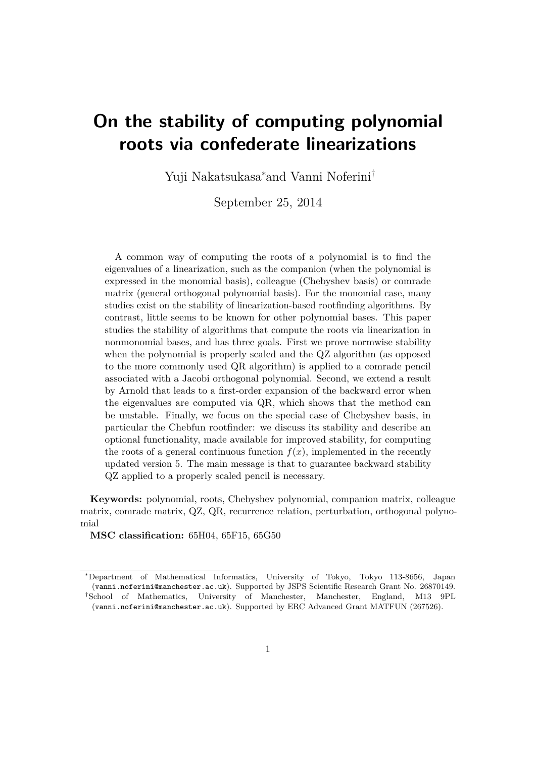# **On the stability of computing polynomial roots via confederate linearizations**

Yuji Nakatsukasa<sup>∗</sup>and Vanni Noferini†

September 25, 2014

A common way of computing the roots of a polynomial is to find the eigenvalues of a linearization, such as the companion (when the polynomial is expressed in the monomial basis), colleague (Chebyshev basis) or comrade matrix (general orthogonal polynomial basis). For the monomial case, many studies exist on the stability of linearization-based rootfinding algorithms. By contrast, little seems to be known for other polynomial bases. This paper studies the stability of algorithms that compute the roots via linearization in nonmonomial bases, and has three goals. First we prove normwise stability when the polynomial is properly scaled and the QZ algorithm (as opposed to the more commonly used QR algorithm) is applied to a comrade pencil associated with a Jacobi orthogonal polynomial. Second, we extend a result by Arnold that leads to a first-order expansion of the backward error when the eigenvalues are computed via QR, which shows that the method can be unstable. Finally, we focus on the special case of Chebyshev basis, in particular the Chebfun rootfinder: we discuss its stability and describe an optional functionality, made available for improved stability, for computing the roots of a general continuous function  $f(x)$ , implemented in the recently updated version 5. The main message is that to guarantee backward stability QZ applied to a properly scaled pencil is necessary.

**Keywords:** polynomial, roots, Chebyshev polynomial, companion matrix, colleague matrix, comrade matrix, QZ, QR, recurrence relation, perturbation, orthogonal polynomial

**MSC classification:** 65H04, 65F15, 65G50

<sup>∗</sup>Department of Mathematical Informatics, University of Tokyo, Tokyo 113-8656, Japan (vanni.noferini@manchester.ac.uk). Supported by JSPS Scientific Research Grant No. 26870149. †School of Mathematics, University of Manchester, Manchester, England, M13 9PL

<sup>(</sup>vanni.noferini@manchester.ac.uk). Supported by ERC Advanced Grant MATFUN (267526).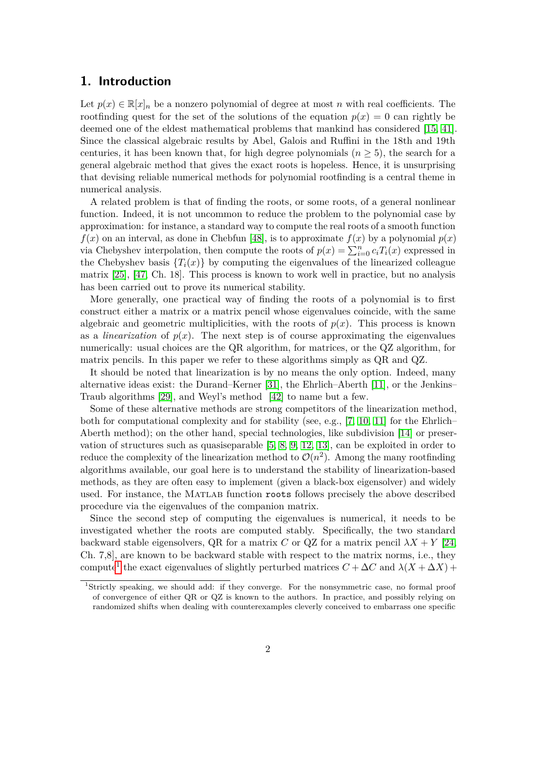### **1. Introduction**

Let  $p(x) \in \mathbb{R}[x]_n$  be a nonzero polynomial of degree at most *n* with real coefficients. The rootfinding quest for the set of the solutions of the equation  $p(x) = 0$  can rightly be deemed one of the eldest mathematical problems that mankind has considered [\[15,](#page-36-0) [41\]](#page-38-0). Since the classical algebraic results by Abel, Galois and Ruffini in the 18th and 19th centuries, it has been known that, for high degree polynomials  $(n \geq 5)$ , the search for a general algebraic method that gives the exact roots is hopeless. Hence, it is unsurprising that devising reliable numerical methods for polynomial rootfinding is a central theme in numerical analysis.

A related problem is that of finding the roots, or some roots, of a general nonlinear function. Indeed, it is not uncommon to reduce the problem to the polynomial case by approximation: for instance, a standard way to compute the real roots of a smooth function  $f(x)$  on an interval, as done in Chebfun [\[48\]](#page-38-1), is to approximate  $f(x)$  by a polynomial  $p(x)$ via Chebyshev interpolation, then compute the roots of  $p(x) = \sum_{i=0}^{n} c_i T_i(x)$  expressed in the Chebyshev basis  ${T_i(x)}$  by computing the eigenvalues of the linearized colleague matrix [\[25\]](#page-37-0), [\[47,](#page-38-2) Ch. 18]. This process is known to work well in practice, but no analysis has been carried out to prove its numerical stability.

More generally, one practical way of finding the roots of a polynomial is to first construct either a matrix or a matrix pencil whose eigenvalues coincide, with the same algebraic and geometric multiplicities, with the roots of  $p(x)$ . This process is known as a *linearization* of  $p(x)$ . The next step is of course approximating the eigenvalues numerically: usual choices are the QR algorithm, for matrices, or the QZ algorithm, for matrix pencils. In this paper we refer to these algorithms simply as QR and QZ.

It should be noted that linearization is by no means the only option. Indeed, many alternative ideas exist: the Durand–Kerner [\[31\]](#page-37-1), the Ehrlich–Aberth [\[11\]](#page-36-1), or the Jenkins– Traub algorithms [\[29\]](#page-37-2), and Weyl's method [\[42\]](#page-38-3) to name but a few.

Some of these alternative methods are strong competitors of the linearization method, both for computational complexity and for stability (see, e.g.,  $[7, 10, 11]$  $[7, 10, 11]$  $[7, 10, 11]$  $[7, 10, 11]$  $[7, 10, 11]$  for the Ehrlich– Aberth method); on the other hand, special technologies, like subdivision [\[14\]](#page-36-4) or preservation of structures such as quasiseparable [\[5,](#page-36-5) [8,](#page-36-6) [9,](#page-36-7) [12,](#page-36-8) [13\]](#page-36-9), can be exploited in order to reduce the complexity of the linearization method to  $\mathcal{O}(n^2)$ . Among the many rootfinding algorithms available, our goal here is to understand the stability of linearization-based methods, as they are often easy to implement (given a black-box eigensolver) and widely used. For instance, the Matlab function roots follows precisely the above described procedure via the eigenvalues of the companion matrix.

Since the second step of computing the eigenvalues is numerical, it needs to be investigated whether the roots are computed stably. Specifically, the two standard backward stable eigensolvers, QR for a matrix *C* or QZ for a matrix pencil  $\lambda X + Y$  [\[24,](#page-37-3) Ch. 7,8], are known to be backward stable with respect to the matrix norms, i.e., they compute<sup>[1](#page-1-0)</sup> the exact eigenvalues of slightly perturbed matrices  $C + \Delta C$  and  $\lambda(X + \Delta X)$  +

<span id="page-1-0"></span><sup>1</sup>Strictly speaking, we should add: if they converge. For the nonsymmetric case, no formal proof of convergence of either QR or QZ is known to the authors. In practice, and possibly relying on randomized shifts when dealing with counterexamples cleverly conceived to embarrass one specific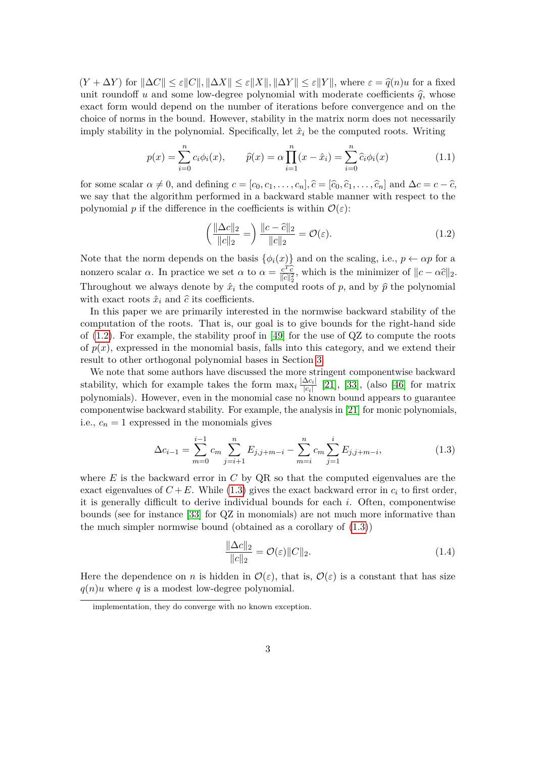$(Y + \Delta Y)$  for  $\|\Delta C\| \leq \varepsilon \|C\|$ ,  $\|\Delta X\| \leq \varepsilon \|X\|$ ,  $\|\Delta Y\| \leq \varepsilon \|Y\|$ , where  $\varepsilon = \hat{q}(n)u$  for a fixed unit roundoff *u* and some low-degree polynomial with moderate coefficients  $\hat{q}$ , whose exact form would depend on the number of iterations before convergence and on the choice of norms in the bound. However, stability in the matrix norm does not necessarily imply stability in the polynomial. Specifically, let  $\hat{x}_i$  be the computed roots. Writing

$$
p(x) = \sum_{i=0}^{n} c_i \phi_i(x), \qquad \hat{p}(x) = \alpha \prod_{i=1}^{n} (x - \hat{x}_i) = \sum_{i=0}^{n} \hat{c}_i \phi_i(x)
$$
 (1.1)

for some scalar  $\alpha \neq 0$ , and defining  $c = [c_0, c_1, \ldots, c_n], \hat{c} = [\hat{c}_0, \hat{c}_1, \ldots, \hat{c}_n]$  and  $\Delta c = c - \hat{c}$ , we say that the algorithm performed in a backward stable manner with respect to the polynomial *p* if the difference in the coefficients is within  $\mathcal{O}(\varepsilon)$ :

<span id="page-2-0"></span>
$$
\left(\frac{\|\Delta c\|_2}{\|c\|_2}\right) \frac{\|c-\hat{c}\|_2}{\|c\|_2} = \mathcal{O}(\varepsilon). \tag{1.2}
$$

Note that the norm depends on the basis  $\{\phi_i(x)\}\$  and on the scaling, i.e.,  $p \leftarrow \alpha p$  for a nonzero scalar *α*. In practice we set *α* to  $\alpha = c \frac{c^T \hat{c}}{||c||^2}$ kb*c*k 2 2 , which is the minimizer of <sup>k</sup>*<sup>c</sup>* <sup>−</sup> *αc*bk2. Throughout we always denote by  $\hat{x}_i$  the computed roots of *p*, and by  $\hat{p}$  the polynomial with exact roots  $\hat{x}_i$  and  $\hat{c}$  its coefficients.

In this paper we are primarily interested in the normwise backward stability of the computation of the roots. That is, our goal is to give bounds for the right-hand side of  $(1.2)$ . For example, the stability proof in [\[49\]](#page-39-0) for the use of QZ to compute the roots of  $p(x)$ , expressed in the monomial basis, falls into this category, and we extend their result to other orthogonal polynomial bases in Section [3.](#page-8-0)

We note that some authors have discussed the more stringent componentwise backward stability, which for example takes the form  $\max_i \frac{|\Delta c_i|}{|c_i|}$  $\frac{\Delta c_i}{|c_i|}$  [\[21\]](#page-37-4), [\[33\]](#page-38-4), (also [\[46\]](#page-38-5) for matrix polynomials). However, even in the monomial case no known bound appears to guarantee componentwise backward stability. For example, the analysis in [\[21\]](#page-37-4) for monic polynomials, i.e.,  $c_n = 1$  expressed in the monomials gives

<span id="page-2-1"></span>
$$
\Delta c_{i-1} = \sum_{m=0}^{i-1} c_m \sum_{j=i+1}^n E_{j,j+m-i} - \sum_{m=i}^n c_m \sum_{j=1}^i E_{j,j+m-i},
$$
\n(1.3)

where *E* is the backward error in *C* by QR so that the computed eigenvalues are the exact eigenvalues of  $C + E$ . While [\(1.3\)](#page-2-1) gives the exact backward error in  $c_i$  to first order, it is generally difficult to derive individual bounds for each *i*. Often, componentwise bounds (see for instance [\[33\]](#page-38-4) for QZ in monomials) are not much more informative than the much simpler normwise bound (obtained as a corollary of [\(1.3\)](#page-2-1))

<span id="page-2-2"></span>
$$
\frac{\|\Delta c\|_2}{\|c\|_2} = \mathcal{O}(\varepsilon) \|C\|_2.
$$
\n(1.4)

Here the dependence on *n* is hidden in  $\mathcal{O}(\varepsilon)$ , that is,  $\mathcal{O}(\varepsilon)$  is a constant that has size  $q(n)u$  where q is a modest low-degree polynomial.

implementation, they do converge with no known exception.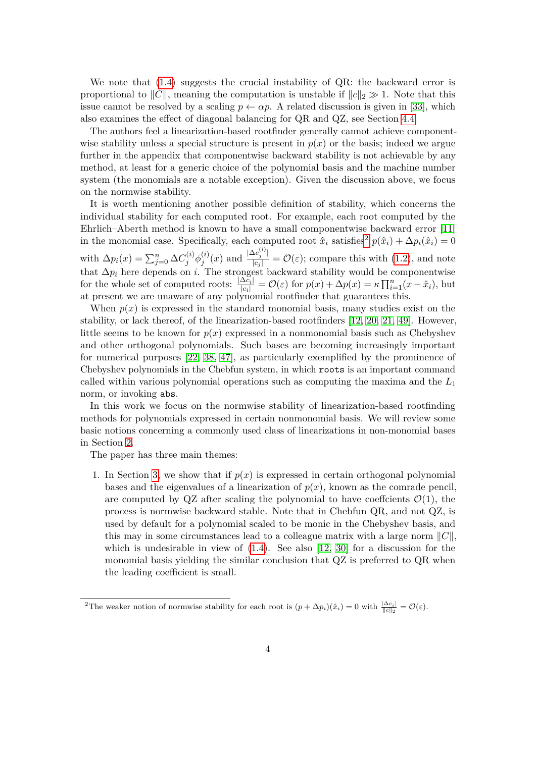We note that  $(1.4)$  suggests the crucial instability of QR: the backward error is proportional to  $||C||$ , meaning the computation is unstable if  $||c||_2 \gg 1$ . Note that this issue cannot be resolved by a scaling  $p \leftarrow \alpha p$ . A related discussion is given in [\[33\]](#page-38-4), which also examines the effect of diagonal balancing for QR and QZ, see Section [4.4.](#page-22-0)

The authors feel a linearization-based rootfinder generally cannot achieve componentwise stability unless a special structure is present in  $p(x)$  or the basis; indeed we argue further in the appendix that componentwise backward stability is not achievable by any method, at least for a generic choice of the polynomial basis and the machine number system (the monomials are a notable exception). Given the discussion above, we focus on the normwise stability.

It is worth mentioning another possible definition of stability, which concerns the individual stability for each computed root. For example, each root computed by the Ehrlich–Aberth method is known to have a small componentwise backward error [\[11\]](#page-36-1) in the monomial case. Specifically, each computed root  $\hat{x}_i$  satisfies<sup>[2](#page-3-0)</sup>  $p(\hat{x}_i) + \Delta p_i(\hat{x}_i) = 0$ with  $\Delta p_i(x) = \sum_{j=0}^n \Delta C_j^{(i)} \phi_j^{(i)}$  $j^{(i)}(x)$  and  $\frac{|\Delta c_j^{(i)}|}{|c_j|} = \mathcal{O}(\varepsilon)$ ; compare this with [\(1.2\)](#page-2-0), and note that  $\Delta p_i$  here depends on *i*. The strongest backward stability would be componentwise for the whole set of computed roots:  $\frac{|\Delta \tilde{c}_i|}{|c_i|} = \mathcal{O}(\varepsilon)$  for  $p(x) + \Delta p(x) = \kappa \prod_{i=1}^n (x - \hat{x}_i)$ , but at present we are unaware of any polynomial rootfinder that guarantees this.

When  $p(x)$  is expressed in the standard monomial basis, many studies exist on the stability, or lack thereof, of the linearization-based rootfinders [\[12,](#page-36-8) [20,](#page-37-5) [21,](#page-37-4) [49\]](#page-39-0). However, little seems to be known for  $p(x)$  expressed in a nonmonomial basis such as Chebyshev and other orthogonal polynomials. Such bases are becoming increasingly important for numerical purposes [\[22,](#page-37-6) [38,](#page-38-6) [47\]](#page-38-2), as particularly exemplified by the prominence of Chebyshev polynomials in the Chebfun system, in which roots is an important command called within various polynomial operations such as computing the maxima and the *L*<sup>1</sup> norm, or invoking abs.

In this work we focus on the normwise stability of linearization-based rootfinding methods for polynomials expressed in certain nonmonomial basis. We will review some basic notions concerning a commonly used class of linearizations in non-monomial bases in Section [2.](#page-4-0)

The paper has three main themes:

1. In Section [3,](#page-8-0) we show that if  $p(x)$  is expressed in certain orthogonal polynomial bases and the eigenvalues of a linearization of  $p(x)$ , known as the comrade pencil, are computed by QZ after scaling the polynomial to have coeffcients  $\mathcal{O}(1)$ , the process is normwise backward stable. Note that in Chebfun QR, and not QZ, is used by default for a polynomial scaled to be monic in the Chebyshev basis, and this may in some circumstances lead to a colleague matrix with a large norm  $||C||$ , which is undesirable in view of  $(1.4)$ . See also  $[12, 30]$  $[12, 30]$  $[12, 30]$  for a discussion for the monomial basis yielding the similar conclusion that QZ is preferred to QR when the leading coefficient is small.

<span id="page-3-0"></span><sup>&</sup>lt;sup>2</sup>The weaker notion of normwise stability for each root is  $(p + \Delta p_i)(\hat{x}_i) = 0$  with  $\frac{|\Delta c_i|}{\|c\|_2} = \mathcal{O}(\varepsilon)$ .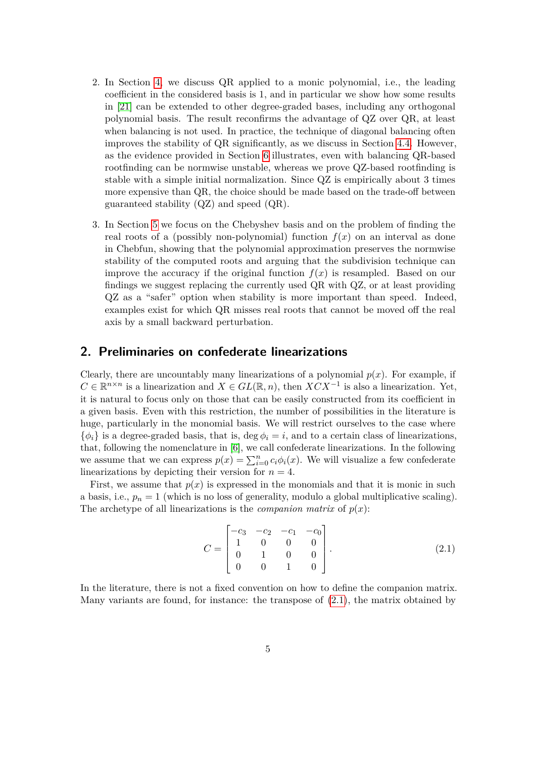- 2. In Section [4,](#page-19-0) we discuss QR applied to a monic polynomial, i.e., the leading coefficient in the considered basis is 1, and in particular we show how some results in [\[21\]](#page-37-4) can be extended to other degree-graded bases, including any orthogonal polynomial basis. The result reconfirms the advantage of QZ over QR, at least when balancing is not used. In practice, the technique of diagonal balancing often improves the stability of QR significantly, as we discuss in Section [4.4.](#page-22-0) However, as the evidence provided in Section [6](#page-26-0) illustrates, even with balancing QR-based rootfinding can be normwise unstable, whereas we prove QZ-based rootfinding is stable with a simple initial normalization. Since QZ is empirically about 3 times more expensive than QR, the choice should be made based on the trade-off between guaranteed stability (QZ) and speed (QR).
- 3. In Section [5](#page-23-0) we focus on the Chebyshev basis and on the problem of finding the real roots of a (possibly non-polynomial) function  $f(x)$  on an interval as done in Chebfun, showing that the polynomial approximation preserves the normwise stability of the computed roots and arguing that the subdivision technique can improve the accuracy if the original function  $f(x)$  is resampled. Based on our findings we suggest replacing the currently used QR with QZ, or at least providing QZ as a "safer" option when stability is more important than speed. Indeed, examples exist for which QR misses real roots that cannot be moved off the real axis by a small backward perturbation.

### <span id="page-4-0"></span>**2. Preliminaries on confederate linearizations**

Clearly, there are uncountably many linearizations of a polynomial  $p(x)$ . For example, if  $C \in \mathbb{R}^{n \times n}$  is a linearization and  $X \in GL(\mathbb{R}, n)$ , then  $XCX^{-1}$  is also a linearization. Yet, it is natural to focus only on those that can be easily constructed from its coefficient in a given basis. Even with this restriction, the number of possibilities in the literature is huge, particularly in the monomial basis. We will restrict ourselves to the case where  $\{\phi_i\}$  is a degree-graded basis, that is, deg  $\phi_i = i$ , and to a certain class of linearizations, that, following the nomenclature in [\[6\]](#page-36-10), we call confederate linearizations. In the following we assume that we can express  $p(x) = \sum_{i=0}^{n} c_i \phi_i(x)$ . We will visualize a few confederate linearizations by depicting their version for  $n = 4$ .

First, we assume that  $p(x)$  is expressed in the monomials and that it is monic in such a basis, i.e.,  $p_n = 1$  (which is no loss of generality, modulo a global multiplicative scaling). The archetype of all linearizations is the *companion matrix* of  $p(x)$ :

<span id="page-4-1"></span>
$$
C = \begin{bmatrix} -c_3 & -c_2 & -c_1 & -c_0 \\ 1 & 0 & 0 & 0 \\ 0 & 1 & 0 & 0 \\ 0 & 0 & 1 & 0 \end{bmatrix}.
$$
 (2.1)

In the literature, there is not a fixed convention on how to define the companion matrix. Many variants are found, for instance: the transpose of [\(2.1\)](#page-4-1), the matrix obtained by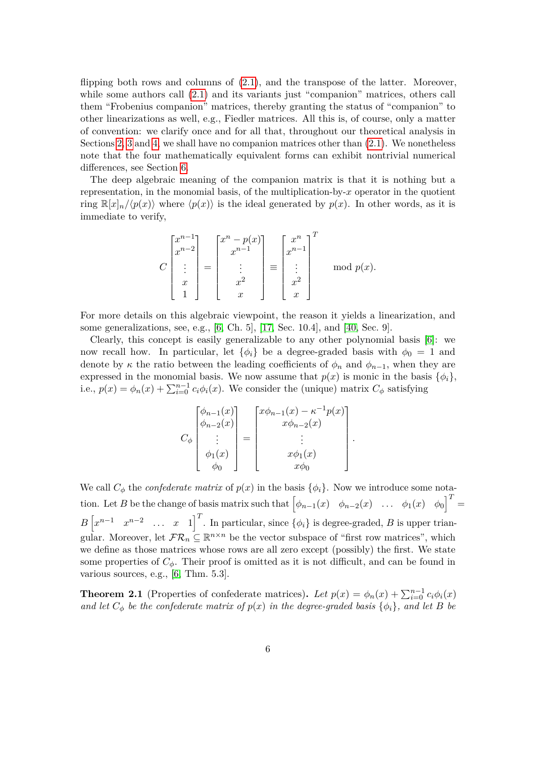flipping both rows and columns of  $(2.1)$ , and the transpose of the latter. Moreover, while some authors call  $(2.1)$  and its variants just "companion" matrices, others call them "Frobenius companion" matrices, thereby granting the status of "companion" to other linearizations as well, e.g., Fiedler matrices. All this is, of course, only a matter of convention: we clarify once and for all that, throughout our theoretical analysis in Sections [2,](#page-4-0) [3](#page-8-0) and [4,](#page-19-0) we shall have no companion matrices other than [\(2.1\)](#page-4-1). We nonetheless note that the four mathematically equivalent forms can exhibit nontrivial numerical differences, see Section [6.](#page-26-0)

The deep algebraic meaning of the companion matrix is that it is nothing but a representation, in the monomial basis, of the multiplication-by-*x* operator in the quotient ring  $\mathbb{R}[x]_n/\langle p(x)\rangle$  where  $\langle p(x)\rangle$  is the ideal generated by  $p(x)$ . In other words, as it is immediate to verify,

$$
C\begin{bmatrix} x^{n-1} \\ x^{n-2} \\ \vdots \\ x \\ 1 \end{bmatrix} = \begin{bmatrix} x^n - p(x) \\ x^{n-1} \\ \vdots \\ x^2 \\ x \end{bmatrix} \equiv \begin{bmatrix} x^n \\ x^{n-1} \\ \vdots \\ x^2 \\ x \end{bmatrix}^T \mod p(x).
$$

For more details on this algebraic viewpoint, the reason it yields a linearization, and some generalizations, see, e.g., [\[6,](#page-36-10) Ch. 5], [\[17,](#page-37-8) Sec. 10.4], and [\[40,](#page-38-7) Sec. 9].

Clearly, this concept is easily generalizable to any other polynomial basis [\[6\]](#page-36-10): we now recall how. In particular, let  $\{\phi_i\}$  be a degree-graded basis with  $\phi_0 = 1$  and denote by  $\kappa$  the ratio between the leading coefficients of  $\phi_n$  and  $\phi_{n-1}$ , when they are expressed in the monomial basis. We now assume that  $p(x)$  is monic in the basis  $\{\phi_i\}$ , i.e.,  $p(x) = \phi_n(x) + \sum_{i=0}^{n-1} c_i \phi_i(x)$ . We consider the (unique) matrix  $C_{\phi}$  satisfying

$$
C_{\phi} \begin{bmatrix} \phi_{n-1}(x) \\ \phi_{n-2}(x) \\ \vdots \\ \phi_1(x) \\ \phi_0 \end{bmatrix} = \begin{bmatrix} x\phi_{n-1}(x) - \kappa^{-1}p(x) \\ x\phi_{n-2}(x) \\ \vdots \\ x\phi_1(x) \\ x\phi_0 \end{bmatrix}
$$

*.*

We call  $C_{\phi}$  the *confederate matrix* of  $p(x)$  in the basis  $\{\phi_i\}$ . Now we introduce some nota- $\left[\phi_{n-1}(x) \quad \phi_{n-2}(x) \quad \ldots \quad \phi_1(x) \quad \phi_0\right]^T =$  $B\left[x^{n-1} \quad x^{n-2} \quad \ldots \quad x \quad 1\right]^{T}$ . In particular, since  $\{\phi_i\}$  is degree-graded, *B* is upper triangular. Moreover, let  $\mathcal{FR}_n \subseteq \mathbb{R}^{n \times n}$  be the vector subspace of "first row matrices", which we define as those matrices whose rows are all zero except (possibly) the first. We state some properties of  $C_{\phi}$ . Their proof is omitted as it is not difficult, and can be found in various sources, e.g., [\[6,](#page-36-10) Thm. 5.3].

<span id="page-5-0"></span>**Theorem 2.1** (Properties of confederate matrices). Let  $p(x) = \phi_n(x) + \sum_{i=0}^{n-1} c_i \phi_i(x)$ *and let*  $C_{\phi}$  *be the confederate matrix of*  $p(x)$  *in the degree-graded basis*  $\{\phi_i\}$ *, and let B be*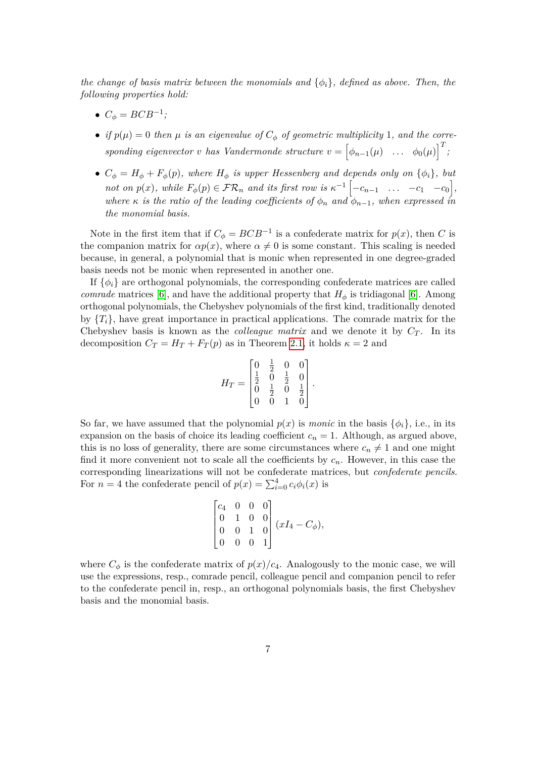*the change of basis matrix between the monomials and* {*φi*}*, defined as above. Then, the following properties hold:*

- $C_{\phi} = BCB^{-1};$
- *if*  $p(\mu) = 0$  then  $\mu$  *is an eigenvalue of*  $C_{\phi}$  *of geometric multiplicity* 1*, and the corresponding eigenvector v has Vandermonde structure*  $v = \begin{bmatrix} \phi_{n-1}(\mu) & \dots & \phi_0(\mu) \end{bmatrix}^T$ ;
- $C_{\phi} = H_{\phi} + F_{\phi}(p)$ , where  $H_{\phi}$  is upper Hessenberg and depends only on  $\{\phi_i\}$ , but *not on*  $p(x)$ *, while*  $F_{\phi}(p) \in \mathcal{FR}_n$  *and its first row is*  $\kappa^{-1}\left[-c_{n-1} \ldots -c_1 - c_0\right]$ *, where*  $\kappa$  *is the ratio of the leading coefficients of*  $\phi_n$  *and*  $\phi_{n-1}$ *, when expressed in the monomial basis.*

Note in the first item that if  $C_{\phi} = BCB^{-1}$  is a confederate matrix for  $p(x)$ , then *C* is the companion matrix for  $\alpha p(x)$ , where  $\alpha \neq 0$  is some constant. This scaling is needed because, in general, a polynomial that is monic when represented in one degree-graded basis needs not be monic when represented in another one.

If  $\{\phi_i\}$  are orthogonal polynomials, the corresponding confederate matrices are called *comrade* matrices [\[6\]](#page-36-10), and have the additional property that  $H_{\phi}$  is tridiagonal [6]. Among orthogonal polynomials, the Chebyshev polynomials of the first kind, traditionally denoted by  ${T<sub>i</sub>}$ , have great importance in practical applications. The comrade matrix for the Chebyshev basis is known as the *colleague matrix* and we denote it by  $C_T$ . In its decomposition  $C_T = H_T + F_T(p)$  as in Theorem [2.1,](#page-5-0) it holds  $\kappa = 2$  and

$$
H_T = \begin{bmatrix} 0 & \frac{1}{2} & 0 & 0 \\ \frac{1}{2} & 0 & \frac{1}{2} & 0 \\ 0 & \frac{1}{2} & 0 & \frac{1}{2} \\ 0 & 0 & 1 & 0 \end{bmatrix}
$$

*.*

So far, we have assumed that the polynomial  $p(x)$  is *monic* in the basis  $\{\phi_i\}$ , i.e., in its expansion on the basis of choice its leading coefficient  $c_n = 1$ . Although, as argued above, this is no loss of generality, there are some circumstances where  $c_n \neq 1$  and one might find it more convenient not to scale all the coefficients by *cn*. However, in this case the corresponding linearizations will not be confederate matrices, but *confederate pencils*. For  $n = 4$  the confederate pencil of  $p(x) = \sum_{i=0}^{4} c_i \phi_i(x)$  is

$$
\begin{bmatrix} c_4 & 0 & 0 & 0 \ 0 & 1 & 0 & 0 \ 0 & 0 & 1 & 0 \ 0 & 0 & 0 & 1 \end{bmatrix} (xI_4 - C_{\phi}),
$$

where  $C_{\phi}$  is the confederate matrix of  $p(x)/c_4$ . Analogously to the monic case, we will use the expressions, resp., comrade pencil, colleague pencil and companion pencil to refer to the confederate pencil in, resp., an orthogonal polynomials basis, the first Chebyshev basis and the monomial basis.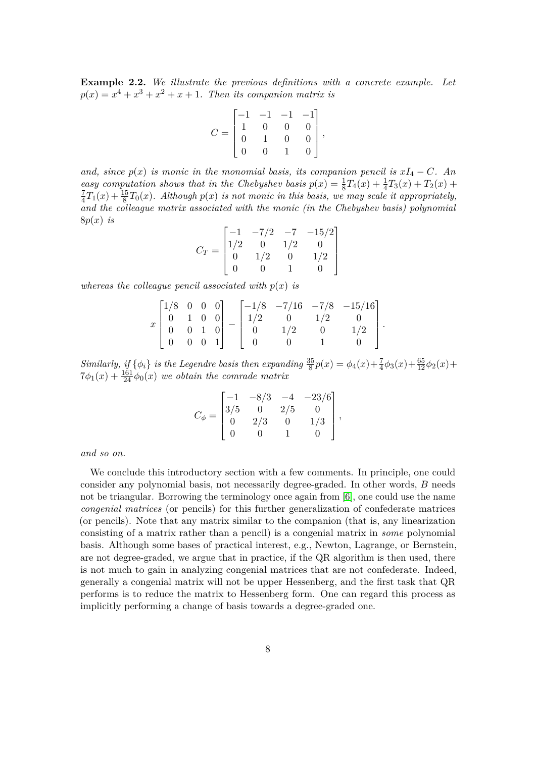**Example 2.2.** *We illustrate the previous definitions with a concrete example. Let*  $p(x) = x^4 + x^3 + x^2 + x + 1$ . Then its companion matrix is

$$
C = \begin{bmatrix} -1 & -1 & -1 & -1 \\ 1 & 0 & 0 & 0 \\ 0 & 1 & 0 & 0 \\ 0 & 0 & 1 & 0 \end{bmatrix},
$$

*and, since*  $p(x)$  *is monic in the monomial basis, its companion pencil is*  $xI_4 - C$ *. An easy computation shows that in the Chebyshev basis*  $p(x) = \frac{1}{8}T_4(x) + \frac{1}{4}T_3(x) + T_2(x) +$ 7  $\frac{7}{4}T_1(x) + \frac{15}{8}T_0(x)$ . Although  $p(x)$  is not monic in this basis, we may scale it appropriately, *and the colleague matrix associated with the monic (in the Chebyshev basis) polynomial* 8*p*(*x*) *is*

$$
C_T = \begin{bmatrix} -1 & -7/2 & -7 & -15/2 \\ 1/2 & 0 & 1/2 & 0 \\ 0 & 1/2 & 0 & 1/2 \\ 0 & 0 & 1 & 0 \end{bmatrix}
$$

*whereas the colleague pencil associated with*  $p(x)$  *is* 

$$
x\begin{bmatrix} 1/8 & 0 & 0 & 0 \\ 0 & 1 & 0 & 0 \\ 0 & 0 & 1 & 0 \\ 0 & 0 & 0 & 1 \end{bmatrix} - \begin{bmatrix} -1/8 & -7/16 & -7/8 & -15/16 \\ 1/2 & 0 & 1/2 & 0 \\ 0 & 1/2 & 0 & 1/2 \\ 0 & 0 & 1 & 0 \end{bmatrix}
$$

*.*

*Similarly, if*  $\{\phi_i\}$  *is the Legendre basis then expanding*  $\frac{35}{8}p(x) = \phi_4(x) + \frac{7}{4}\phi_3(x) + \frac{65}{12}\phi_2(x) +$  $7\phi_1(x) + \frac{161}{24}\phi_0(x)$  *we obtain the comrade matrix* 

$$
C_{\phi} = \begin{bmatrix} -1 & -8/3 & -4 & -23/6 \\ 3/5 & 0 & 2/5 & 0 \\ 0 & 2/3 & 0 & 1/3 \\ 0 & 0 & 1 & 0 \end{bmatrix},
$$

*and so on.*

We conclude this introductory section with a few comments. In principle, one could consider any polynomial basis, not necessarily degree-graded. In other words, *B* needs not be triangular. Borrowing the terminology once again from [\[6\]](#page-36-10), one could use the name *congenial matrices* (or pencils) for this further generalization of confederate matrices (or pencils). Note that any matrix similar to the companion (that is, any linearization consisting of a matrix rather than a pencil) is a congenial matrix in *some* polynomial basis. Although some bases of practical interest, e.g., Newton, Lagrange, or Bernstein, are not degree-graded, we argue that in practice, if the QR algorithm is then used, there is not much to gain in analyzing congenial matrices that are not confederate. Indeed, generally a congenial matrix will not be upper Hessenberg, and the first task that QR performs is to reduce the matrix to Hessenberg form. One can regard this process as implicitly performing a change of basis towards a degree-graded one.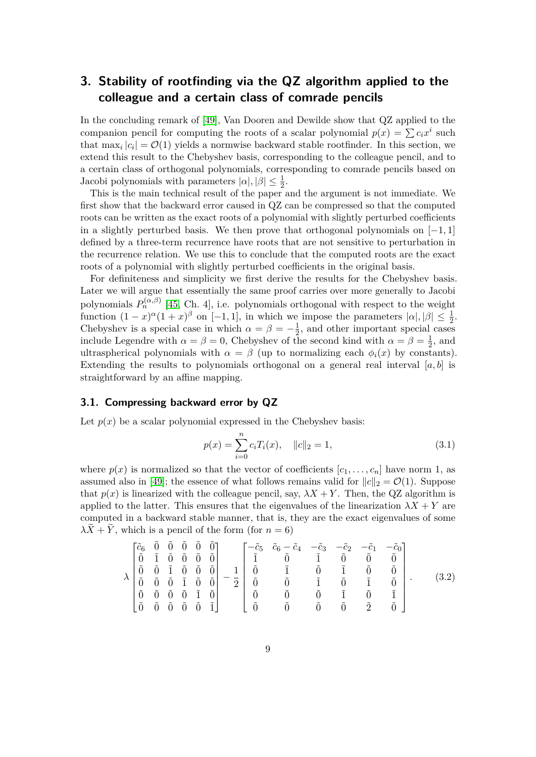# <span id="page-8-0"></span>**3. Stability of rootfinding via the QZ algorithm applied to the colleague and a certain class of comrade pencils**

In the concluding remark of [\[49\]](#page-39-0), Van Dooren and Dewilde show that QZ applied to the companion pencil for computing the roots of a scalar polynomial  $p(x) = \sum c_i x^i$  such that  $\max_i |c_i| = \mathcal{O}(1)$  yields a normwise backward stable rootfinder. In this section, we extend this result to the Chebyshev basis, corresponding to the colleague pencil, and to a certain class of orthogonal polynomials, corresponding to comrade pencils based on Jacobi polynomials with parameters  $|\alpha|, |\beta| \leq \frac{1}{2}$ .

This is the main technical result of the paper and the argument is not immediate. We first show that the backward error caused in QZ can be compressed so that the computed roots can be written as the exact roots of a polynomial with slightly perturbed coefficients in a slightly perturbed basis. We then prove that orthogonal polynomials on [−1*,* 1] defined by a three-term recurrence have roots that are not sensitive to perturbation in the recurrence relation. We use this to conclude that the computed roots are the exact roots of a polynomial with slightly perturbed coefficients in the original basis.

For definiteness and simplicity we first derive the results for the Chebyshev basis. Later we will argue that essentially the same proof carries over more generally to Jacobi polynomials  $P_n^{(\alpha,\beta)}$  [\[45,](#page-38-8) Ch. 4], i.e. polynomials orthogonal with respect to the weight function  $(1-x)^\alpha(1+x)^\beta$  on  $[-1,1]$ , in which we impose the parameters  $|\alpha|, |\beta| \leq \frac{1}{2}$ . Chebyshev is a special case in which  $\alpha = \beta = -\frac{1}{2}$  $\frac{1}{2}$ , and other important special cases include Legendre with  $\alpha = \beta = 0$ , Chebyshev of the second kind with  $\alpha = \beta = \frac{1}{2}$  $\frac{1}{2}$ , and ultraspherical polynomials with  $\alpha = \beta$  (up to normalizing each  $\phi_i(x)$  by constants). Extending the results to polynomials orthogonal on a general real interval  $[a, b]$  is straightforward by an affine mapping.

### **3.1. Compressing backward error by QZ**

Let  $p(x)$  be a scalar polynomial expressed in the Chebyshev basis:

<span id="page-8-2"></span>
$$
p(x) = \sum_{i=0}^{n} c_i T_i(x), \quad ||c||_2 = 1,
$$
\n(3.1)

where  $p(x)$  is normalized so that the vector of coefficients  $[c_1, \ldots, c_n]$  have norm 1, as assumed also in [\[49\]](#page-39-0); the essence of what follows remains valid for  $||c||_2 = \mathcal{O}(1)$ . Suppose that  $p(x)$  is linearized with the colleague pencil, say,  $\lambda X + Y$ . Then, the QZ algorithm is applied to the latter. This ensures that the eigenvalues of the linearization  $\lambda X + Y$  are computed in a backward stable manner, that is, they are the exact eigenvalues of some  $\lambda X + Y$ , which is a pencil of the form (for  $n = 6$ )

<span id="page-8-1"></span>
$$
\lambda \begin{bmatrix} \tilde{c}_6 & \tilde{0} & \tilde{0} & \tilde{0} & \tilde{0} & \tilde{0} \\ \tilde{0} & \tilde{1} & \tilde{0} & \tilde{0} & \tilde{0} & \tilde{0} \\ \tilde{0} & \tilde{0} & \tilde{1} & \tilde{0} & \tilde{0} & \tilde{0} \\ \tilde{0} & \tilde{0} & \tilde{0} & \tilde{1} & \tilde{0} & \tilde{0} \\ \tilde{0} & \tilde{0} & \tilde{0} & \tilde{0} & \tilde{1} & \tilde{0} \\ \tilde{0} & \tilde{0} & \tilde{0} & \tilde{0} & \tilde{1} & \tilde{0} \\ \tilde{0} & \tilde{0} & \tilde{0} & \tilde{0} & \tilde{1} & \tilde{0} \\ \tilde{0} & \tilde{0} & \tilde{0} & \tilde{0} & \tilde{1} & \tilde{0} \\ \tilde{0} & \tilde{0} & \tilde{0} & \tilde{0} & \tilde{0} & \tilde{0} & \tilde{0} \\ \tilde{0} & \tilde{0} & \tilde{0} & \tilde{0} & \tilde{0} & \tilde{0} & \tilde{0} & \tilde{1} \\ \tilde{0} & \tilde{0} & \tilde{0} & \tilde{0} & \tilde{0} & \tilde{0} & \tilde{0} & \tilde{1} \end{bmatrix} . \qquad (3.2)
$$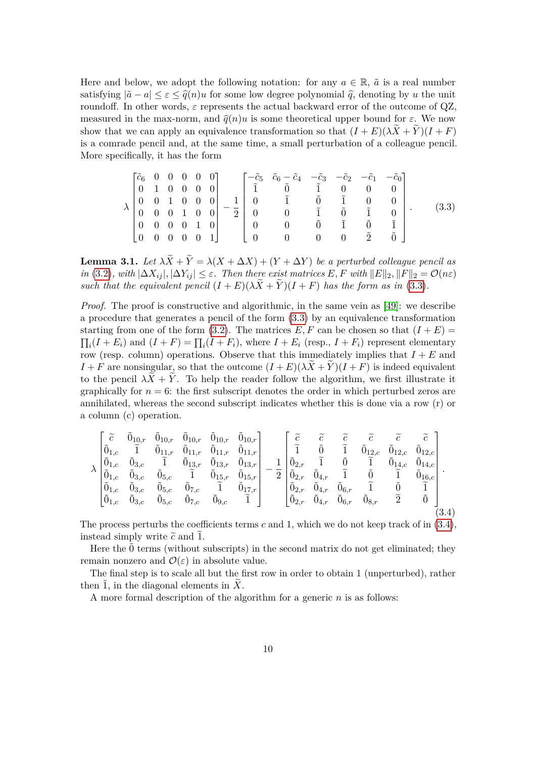Here and below, we adopt the following notation: for any  $a \in \mathbb{R}$ ,  $\tilde{a}$  is a real number satisfying  $|\tilde{a} - a| < \varepsilon < \hat{a}(n)u$  for some low degree polynomial  $\hat{a}$ , denoting by *u* the unit roundoff. In other words,  $\varepsilon$  represents the actual backward error of the outcome of  $QZ$ , measured in the max-norm, and  $\hat{q}(n)u$  is some theoretical upper bound for  $\varepsilon$ . We now show that we can apply an equivalence transformation so that  $(I + E)(\lambda X + Y)(I + F)$ is a comrade pencil and, at the same time, a small perturbation of a colleague pencil. More specifically, it has the form

<span id="page-9-0"></span>
$$
\lambda \begin{bmatrix} \tilde{c}_6 & 0 & 0 & 0 & 0 & 0 \\ 0 & 1 & 0 & 0 & 0 & 0 \\ 0 & 0 & 1 & 0 & 0 & 0 \\ 0 & 0 & 0 & 1 & 0 & 0 \\ 0 & 0 & 0 & 0 & 1 & 0 \\ 0 & 0 & 0 & 0 & 0 & 1 \end{bmatrix} - \frac{1}{2} \begin{bmatrix} -\tilde{c}_5 & \tilde{c}_6 - \tilde{c}_4 & -\tilde{c}_3 & -\tilde{c}_2 & -\tilde{c}_1 & -\tilde{c}_0 \\ \tilde{1} & \tilde{0} & \tilde{1} & 0 & 0 & 0 \\ 0 & \tilde{1} & \tilde{0} & \tilde{1} & 0 & 0 \\ 0 & 0 & \tilde{0} & \tilde{1} & \tilde{0} & \tilde{1} \\ 0 & 0 & 0 & 0 & 2 & \tilde{0} \end{bmatrix} . \tag{3.3}
$$

<span id="page-9-2"></span>**Lemma 3.1.** *Let*  $\lambda X + Y = \lambda (X + \Delta X) + (Y + \Delta Y)$  *be a perturbed colleague pencil as in* [\(3.2\)](#page-8-1)*, with*  $|\Delta X_{ij}|, |\Delta Y_{ij}| \leq \varepsilon$ *. Then there exist matrices E, F with*  $||E||_2, ||F||_2 = \mathcal{O}(n\varepsilon)$ *such that the equivalent pencil*  $(I + E)(\lambda X + Y)(I + F)$  *has the form as in* [\(3.3\)](#page-9-0)*.* 

*Proof.* The proof is constructive and algorithmic, in the same vein as [\[49\]](#page-39-0): we describe a procedure that generates a pencil of the form [\(3.3\)](#page-9-0) by an equivalence transformation starting from one of the form [\(3.2\)](#page-8-1). The matrices  $E, F$  can be chosen so that  $(I + E)$  $\prod_i (I + E_i)$  and  $(I + F) = \prod_i (I + F_i)$ , where  $I + E_i$  (resp.,  $I + F_i$ ) represent elementary row (resp. column) operations. Observe that this immediately implies that *I* + *E* and  $I + F$  are nonsingular, so that the outcome  $(I + E)(\lambda X + Y)(I + F)$  is indeed equivalent to the pencil  $\lambda X + Y$ . To help the reader follow the algorithm, we first illustrate it graphically for  $n = 6$ : the first subscript denotes the order in which perturbed zeros are annihilated, whereas the second subscript indicates whether this is done via a row (r) or a column (c) operation.

<span id="page-9-1"></span>
$$
\lambda \begin{bmatrix} \tilde{c} & \tilde{0}_{10,r} & \tilde{0}_{10,r} & \tilde{0}_{10,r} & \tilde{0}_{10,r} & \tilde{0}_{10,r} \\ \tilde{0}_{1,c} & \tilde{1} & \tilde{0}_{11,r} & \tilde{0}_{11,r} & \tilde{0}_{11,r} & \tilde{0}_{11,r} \\ \tilde{0}_{1,c} & \tilde{0}_{3,c} & \tilde{1} & \tilde{0}_{13,r} & \tilde{0}_{13,r} & \tilde{0}_{13,r} \\ \tilde{0}_{1,c} & \tilde{0}_{3,c} & \tilde{0}_{5,c} & \tilde{1} & \tilde{0}_{15,r} & \tilde{0}_{15,r} \\ \tilde{0}_{1,c} & \tilde{0}_{3,c} & \tilde{0}_{5,c} & \tilde{0}_{7,c} & \tilde{1} & \tilde{0}_{17,r} \\ \tilde{0}_{1,c} & \tilde{0}_{3,c} & \tilde{0}_{5,c} & \tilde{0}_{7,c} & \tilde{1} & \tilde{0}_{17,r} \\ \tilde{0}_{1,c} & \tilde{0}_{3,c} & \tilde{0}_{5,c} & \tilde{0}_{7,c} & \tilde{0}_{9,c} & \tilde{1} \end{bmatrix} - \frac{1}{2} \begin{bmatrix} \tilde{c} & \tilde{c} & \tilde{c} & \tilde{c} & \tilde{c} \\ \tilde{1} & \tilde{0} & \tilde{1} & \tilde{0}_{12,c} & \tilde{0}_{12,c} \\ \tilde{0}_{2,r} & \tilde{1} & \tilde{0} & \tilde{1} & \tilde{0}_{14,c} \\ \tilde{0}_{2,r} & \tilde{0}_{4,r} & \tilde{0}_{6,r} & \tilde{1} & \tilde{0} & \tilde{1} \\ \tilde{0}_{2,r} & \tilde{0}_{4,r} & \tilde{0}_{6,r} & \tilde{1} & \tilde{0} & \tilde{1} \\ \tilde{0}_{2,r} & \tilde{0}_{4,r} & \tilde{0}_{6,r} & \tilde{2} & \tilde{0} & 0 \\ \tilde{0}_{3,r} & \tilde{2} & \tilde{0} & 0 & 0 \\ \end{bmatrix} . \tag{3.4}
$$

The process perturbs the coefficients terms *c* and 1, which we do not keep track of in [\(3.4\)](#page-9-1), instead simply write  $\tilde{c}$  and 1.

Here the  $\ddot{0}$  terms (without subscripts) in the second matrix do not get eliminated; they remain nonzero and  $\mathcal{O}(\varepsilon)$  in absolute value.

The final step is to scale all but the first row in order to obtain 1 (unperturbed), rather then  $\tilde{1}$ , in the diagonal elements in  $\tilde{X}$ .

A more formal description of the algorithm for a generic *n* is as follows: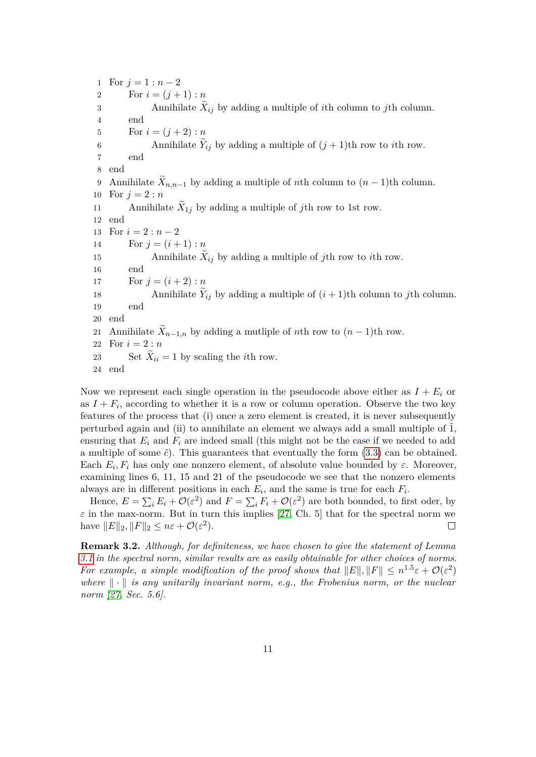1 For  $j = 1 : n - 2$ 2 For  $i = (j + 1) : n$ 3 Annihilate  $X_{ij}$  by adding a multiple of *i*th column to *j*th column. 4 end 5 For  $i = (j + 2) : n$ 6 Annihilate  $Y_{ij}$  by adding a multiple of  $(j + 1)$ th row to *i*th row. 7 end 8 end 9 Annihilate  $X_{n,n-1}$  by adding a multiple of *n*th column to  $(n-1)$ th column. 10 For  $j = 2 : n$ 11 Annihilate  $X_{1j}$  by adding a multiple of *j*th row to 1st row. 12 end 13 For  $i = 2 : n - 2$ 14 For  $j = (i + 1) : n$ 15 Annihilate  $X_{ij}$  by adding a multiple of *j*th row to *i*th row. 16 end 17 For  $j = (i + 2) : n$ 18 Annihilate  $Y_{ij}$  by adding a multiple of  $(i + 1)$ th column to *j*th column. 19 end 20 end 21 Annihilate  $X_{n-1,n}$  by adding a mutliple of *n*th row to  $(n-1)$ th row. 22 For *i* = 2 : *n* 23 Set  $X_{ii} = 1$  by scaling the *i*th row. 24 end

Now we represent each single operation in the pseudocode above either as  $I + E_i$  or as  $I + F_i$ , according to whether it is a row or column operation. Observe the two key features of the process that (i) once a zero element is created, it is never subsequently perturbed again and (ii) to annihilate an element we always add a small multiple of  $\tilde{1}$ , ensuring that  $E_i$  and  $F_i$  are indeed small (this might not be the case if we needed to add a multiple of some  $\tilde{c}$ ). This guarantees that eventually the form  $(3.3)$  can be obtained. Each  $E_i$ ,  $F_i$  has only one nonzero element, of absolute value bounded by  $\varepsilon$ . Moreover, examining lines 6, 11, 15 and 21 of the pseudocode we see that the nonzero elements always are in different positions in each  $E_i$ , and the same is true for each  $F_i$ .

Hence,  $E = \sum_i E_i + \mathcal{O}(\varepsilon^2)$  and  $F = \sum_i F_i + \mathcal{O}(\varepsilon^2)$  are both bounded, to first oder, by  $\varepsilon$  in the max-norm. But in turn this implies [\[27,](#page-37-9) Ch. 5] that for the spectral norm we have  $||E||_2$ ,  $||F||_2 \leq n\varepsilon + \mathcal{O}(\varepsilon^2)$ .  $\Box$ 

**Remark 3.2.** *Although, for definiteness, we have chosen to give the statement of Lemma [3.1](#page-9-2) in the spectral norm, similar results are as easily obtainable for other choices of norms. For example, a simple modification of the proof shows that*  $||E||, ||F|| \leq n^{1.5} \varepsilon + \mathcal{O}(\varepsilon^2)$ where  $\|\cdot\|$  *is any unitarily invariant norm, e.g., the Frobenius norm, or the nuclear norm [\[27,](#page-37-9) Sec. 5.6].*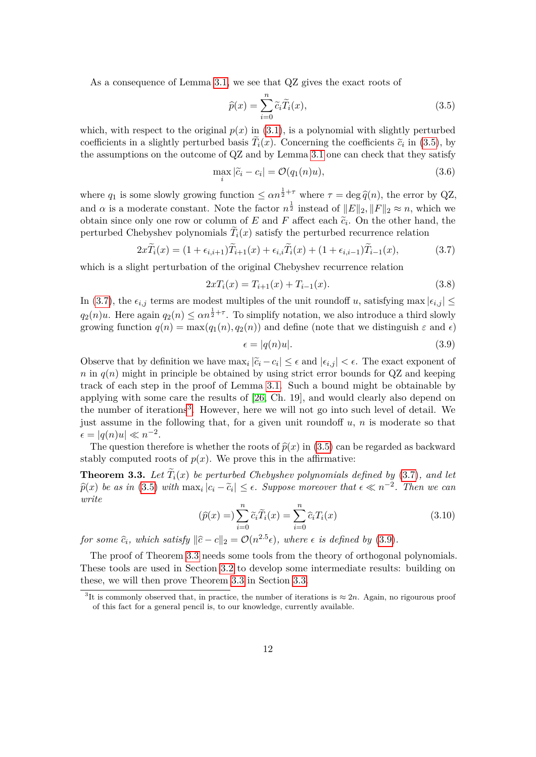As a consequence of Lemma [3.1,](#page-9-2) we see that QZ gives the exact roots of

<span id="page-11-0"></span>
$$
\widehat{p}(x) = \sum_{i=0}^{n} \widetilde{c}_i \widetilde{T}_i(x),\tag{3.5}
$$

which, with respect to the original  $p(x)$  in [\(3.1\)](#page-8-2), is a polynomial with slightly perturbed coefficients in a slightly perturbed basis  $T_i(x)$ . Concerning the coefficients  $\tilde{c}_i$  in [\(3.5\)](#page-11-0), by the assumptions on the outcome of QZ and by Lemma [3.1](#page-9-2) one can check that they satisfy

$$
\max_{i} |\tilde{c}_i - c_i| = \mathcal{O}(q_1(n)u),\tag{3.6}
$$

where  $q_1$  is some slowly growing function  $\leq \alpha n^{\frac{1}{2}+\tau}$  where  $\tau = \deg \hat{q}(n)$ , the error by QZ, and  $\alpha$  is a moderate constant. Note the factor  $n^{\frac{1}{2}}$  instead of  $||E||_2$ ,  $||F||_2 \approx n$ , which we obtain since only one row or column of *E* and *F* affect each  $\tilde{c}_i$ . On the other hand, the perturbed Chebyshev polynomials  $T_i(x)$  satisfy the perturbed recurrence relation

<span id="page-11-1"></span>
$$
2x\widetilde{T}_i(x) = (1 + \epsilon_{i,i+1})\widetilde{T}_{i+1}(x) + \epsilon_{i,i}\widetilde{T}_i(x) + (1 + \epsilon_{i,i-1})\widetilde{T}_{i-1}(x),\tag{3.7}
$$

which is a slight perturbation of the original Chebyshev recurrence relation

$$
2xT_i(x) = T_{i+1}(x) + T_{i-1}(x).
$$
\n(3.8)

In [\(3.7\)](#page-11-1), the  $\epsilon_{i,j}$  terms are modest multiples of the unit roundoff *u*, satisfying max  $|\epsilon_{i,j}| \leq$  $q_2(n)u$ . Here again  $q_2(n) \leq \alpha n^{\frac{1}{2}+\tau}$ . To simplify notation, we also introduce a third slowly growing function  $q(n) = \max(q_1(n), q_2(n))$  and define (note that we distinguish  $\varepsilon$  and  $\epsilon$ )

<span id="page-11-3"></span>
$$
\epsilon = |q(n)u|.\tag{3.9}
$$

Observe that by definition we have  $\max_i |\tilde{c}_i - c_i| \leq \epsilon$  and  $|\epsilon_{i,j}| < \epsilon$ . The exact exponent of  $n \in q(n)$  might in principle be obtained by using strict error bounds for  $QZ$  and keeping track of each step in the proof of Lemma [3.1.](#page-9-2) Such a bound might be obtainable by applying with some care the results of [\[26,](#page-37-10) Ch. 19], and would clearly also depend on the number of iterations<sup>[3](#page-11-2)</sup>. However, here we will not go into such level of detail. We just assume in the following that, for a given unit roundoff *u*, *n* is moderate so that  $\epsilon = |q(n)u| \ll n^{-2}.$ 

The question therefore is whether the roots of  $\hat{p}(x)$  in [\(3.5\)](#page-11-0) can be regarded as backward stably computed roots of  $p(x)$ . We prove this in the affirmative:

<span id="page-11-4"></span>**Theorem 3.3.** Let  $T_i(x)$  be perturbed Chebyshev polynomials defined by  $(3.7)$ *, and let*  $\hat{p}(x)$  *be as in* [\(3.5\)](#page-11-0) *with*  $\max_i |c_i - \tilde{c}_i| \le \epsilon$ . Suppose moreover that  $\epsilon \ll n^{-2}$ . Then we can *write*

<span id="page-11-5"></span>
$$
(\widehat{p}(x)) = \sum_{i=0}^{n} \widetilde{c}_i \widetilde{T}_i(x) = \sum_{i=0}^{n} \widehat{c}_i T_i(x)
$$
\n(3.10)

*for some*  $\hat{c}_i$ *, which satisfy*  $\|\hat{c} - c\|_2 = \mathcal{O}(n^{2.5} \epsilon)$ *, where*  $\epsilon$  *is defined by* [\(3.9\)](#page-11-3)*.* 

The proof of Theorem [3.3](#page-11-4) needs some tools from the theory of orthogonal polynomials. These tools are used in Section [3.2](#page-12-0) to develop some intermediate results: building on these, we will then prove Theorem [3.3](#page-11-4) in Section [3.3.](#page-17-0)

<span id="page-11-2"></span><sup>&</sup>lt;sup>3</sup>It is commonly observed that, in practice, the number of iterations is  $\approx 2n$ . Again, no rigourous proof of this fact for a general pencil is, to our knowledge, currently available.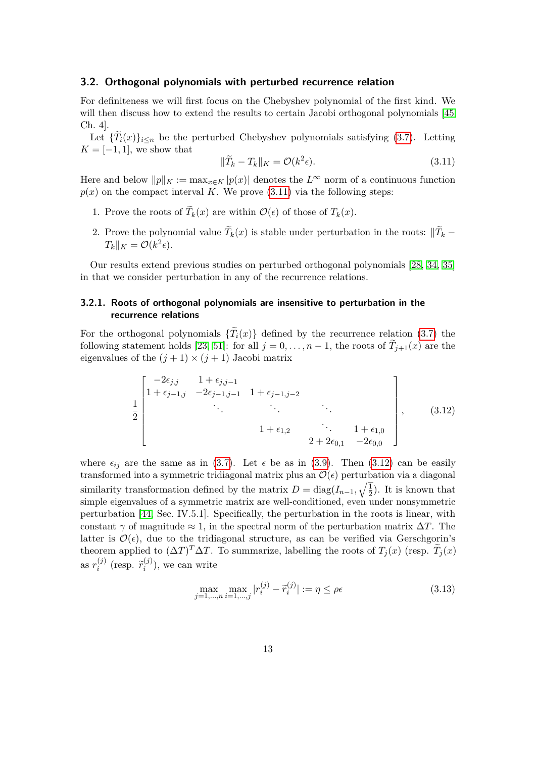### <span id="page-12-0"></span>**3.2. Orthogonal polynomials with perturbed recurrence relation**

For definiteness we will first focus on the Chebyshev polynomial of the first kind. We will then discuss how to extend the results to certain Jacobi orthogonal polynomials [\[45,](#page-38-8) Ch. 4].

Let  ${T_i(x)}_{i \leq n}$  be the perturbed Chebyshev polynomials satisfying [\(3.7\)](#page-11-1). Letting  $K = [-1, 1]$ , we show that

<span id="page-12-1"></span>
$$
\|\widetilde{T}_k - T_k\|_K = \mathcal{O}(k^2 \epsilon). \tag{3.11}
$$

Here and below  $||p||_K := \max_{x \in K} |p(x)|$  denotes the  $L^{\infty}$  norm of a continuous function  $p(x)$  on the compact interval *K*. We prove [\(3.11\)](#page-12-1) via the following steps:

- 1. Prove the roots of  $T_k(x)$  are within  $\mathcal{O}(\epsilon)$  of those of  $T_k(x)$ .
- 2. Prove the polynomial value  $T_k(x)$  is stable under perturbation in the roots:  $||T_k T_k||_K = \mathcal{O}(k^2 \epsilon).$

Our results extend previous studies on perturbed orthogonal polynomials [\[28,](#page-37-11) [34,](#page-38-9) [35\]](#page-38-10) in that we consider perturbation in any of the recurrence relations.

### <span id="page-12-3"></span>**3.2.1. Roots of orthogonal polynomials are insensitive to perturbation in the recurrence relations**

For the orthogonal polynomials  ${T_i(x)}$  defined by the recurrence relation [\(3.7\)](#page-11-1) the following statement holds [\[23,](#page-37-12) [51\]](#page-39-1): for all  $j = 0, \ldots, n - 1$ , the roots of  $T_{j+1}(x)$  are the eigenvalues of the  $(j + 1) \times (j + 1)$  Jacobi matrix

<span id="page-12-2"></span>
$$
\frac{1}{2} \begin{bmatrix} -2\epsilon_{j,j} & 1+\epsilon_{j,j-1} \\ 1+\epsilon_{j-1,j} & -2\epsilon_{j-1,j-1} & 1+\epsilon_{j-1,j-2} \\ \vdots & \vdots & \ddots & \vdots \\ 1+\epsilon_{1,2} & \ddots & 1+\epsilon_{1,0} \\ 2+2\epsilon_{0,1} & -2\epsilon_{0,0} \end{bmatrix},
$$
(3.12)

where  $\epsilon_{ij}$  are the same as in [\(3.7\)](#page-11-1). Let  $\epsilon$  be as in [\(3.9\)](#page-11-3). Then [\(3.12\)](#page-12-2) can be easily transformed into a symmetric tridiagonal matrix plus an  $\mathcal{O}(\epsilon)$  perturbation via a diagonal similarity transformation defined by the matrix  $D = \text{diag}(I_{n-1}, \sqrt{\frac{1}{2}})$  $(\frac{1}{2})$ . It is known that simple eigenvalues of a symmetric matrix are well-conditioned, even under nonsymmetric perturbation [\[44,](#page-38-11) Sec. IV.5.1]. Specifically, the perturbation in the roots is linear, with constant  $\gamma$  of magnitude  $\approx 1$ , in the spectral norm of the perturbation matrix  $\Delta T$ . The latter is  $\mathcal{O}(\epsilon)$ , due to the tridiagonal structure, as can be verified via Gerschgorin's theorem applied to  $(\Delta T)^T \Delta T$ . To summarize, labelling the roots of  $T_j(x)$  (resp.  $\widetilde{T}_j(x)$ ) as  $r_i^{(j)}$  $\binom{(j)}{i}$  (resp.  $\widetilde{r}_i^{(j)}$  $\binom{1}{i}$ , we can write

$$
\max_{j=1,\dots,n} \max_{i=1,\dots,j} |r_i^{(j)} - \tilde{r}_i^{(j)}| := \eta \le \rho \epsilon
$$
\n(3.13)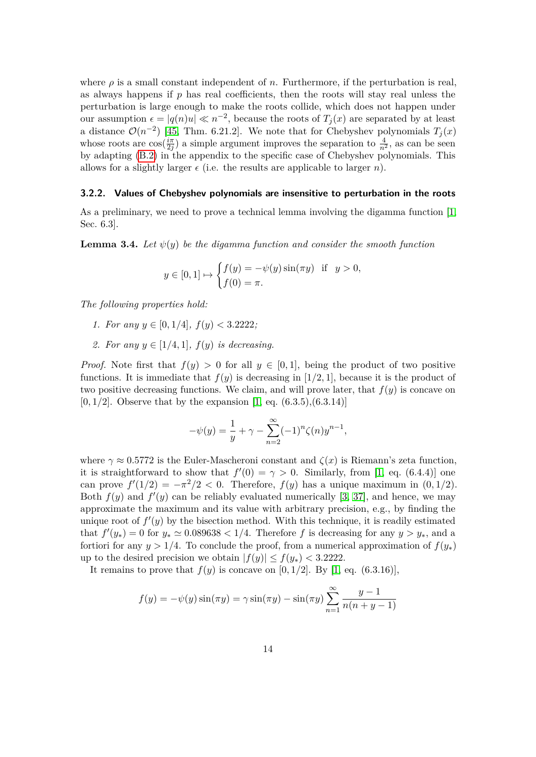where  $\rho$  is a small constant independent of *n*. Furthermore, if the perturbation is real, as always happens if *p* has real coefficients, then the roots will stay real unless the perturbation is large enough to make the roots collide, which does not happen under our assumption  $\epsilon = |q(n)u| \ll n^{-2}$ , because the roots of  $T_j(x)$  are separated by at least a distance  $\mathcal{O}(n^{-2})$  [\[45,](#page-38-8) Thm. 6.21.2]. We note that for Chebyshev polynomials  $T_j(x)$ whose roots are  $\cos(\frac{i\pi}{2i})$  $\frac{i\pi}{2j}$  a simple argument improves the separation to  $\frac{4}{n^2}$ , as can be seen by adapting [\(B.2\)](#page-34-0) in the appendix to the specific case of Chebyshev polynomials. This allows for a slightly larger  $\epsilon$  (i.e. the results are applicable to larger *n*).

### <span id="page-13-1"></span>**3.2.2. Values of Chebyshev polynomials are insensitive to perturbation in the roots**

As a preliminary, we need to prove a technical lemma involving the digamma function [\[1,](#page-36-11) Sec. 6.3].

<span id="page-13-0"></span>**Lemma 3.4.** *Let*  $\psi(y)$  *be the digamma function and consider the smooth function* 

$$
y \in [0, 1] \mapsto \begin{cases} f(y) = -\psi(y)\sin(\pi y) & \text{if } y > 0, \\ f(0) = \pi. \end{cases}
$$

*The following properties hold:*

- *1. For any*  $y \in [0, 1/4]$ ,  $f(y) < 3.2222$ ;
- *2. For any*  $y \in [1/4, 1]$ *,*  $f(y)$  *is decreasing*.

*Proof.* Note first that  $f(y) > 0$  for all  $y \in [0,1]$ , being the product of two positive functions. It is immediate that  $f(y)$  is decreasing in  $[1/2, 1]$ , because it is the product of two positive decreasing functions. We claim, and will prove later, that  $f(y)$  is concave on  $[0,1/2]$ . Observe that by the expansion  $[1, eq. (6.3.5), (6.3.14)]$  $[1, eq. (6.3.5), (6.3.14)]$ 

$$
-\psi(y) = \frac{1}{y} + \gamma - \sum_{n=2}^{\infty} (-1)^n \zeta(n) y^{n-1},
$$

where  $\gamma \approx 0.5772$  is the Euler-Mascheroni constant and  $\zeta(x)$  is Riemann's zeta function, it is straightforward to show that  $f'(0) = \gamma > 0$ . Similarly, from [\[1,](#page-36-11) eq. (6.4.4)] one can prove  $f'(1/2) = -\pi^2/2 < 0$ . Therefore,  $f(y)$  has a unique maximum in  $(0, 1/2)$ . Both  $f(y)$  and  $f'(y)$  can be reliably evaluated numerically [\[3,](#page-36-12) [37\]](#page-38-12), and hence, we may approximate the maximum and its value with arbitrary precision, e.g., by finding the unique root of  $f'(y)$  by the bisection method. With this technique, it is readily estimated that  $f'(y_*) = 0$  for  $y_* \simeq 0.089638 < 1/4$ . Therefore f is decreasing for any  $y > y_*$ , and a fortiori for any  $y > 1/4$ . To conclude the proof, from a numerical approximation of  $f(y_*)$ up to the desired precision we obtain  $|f(y)| \le f(y_*) < 3.2222$ .

It remains to prove that  $f(y)$  is concave on [0, 1/2]. By [\[1,](#page-36-11) eq. (6.3.16)],

$$
f(y) = -\psi(y)\sin(\pi y) = \gamma \sin(\pi y) - \sin(\pi y) \sum_{n=1}^{\infty} \frac{y-1}{n(n+y-1)}
$$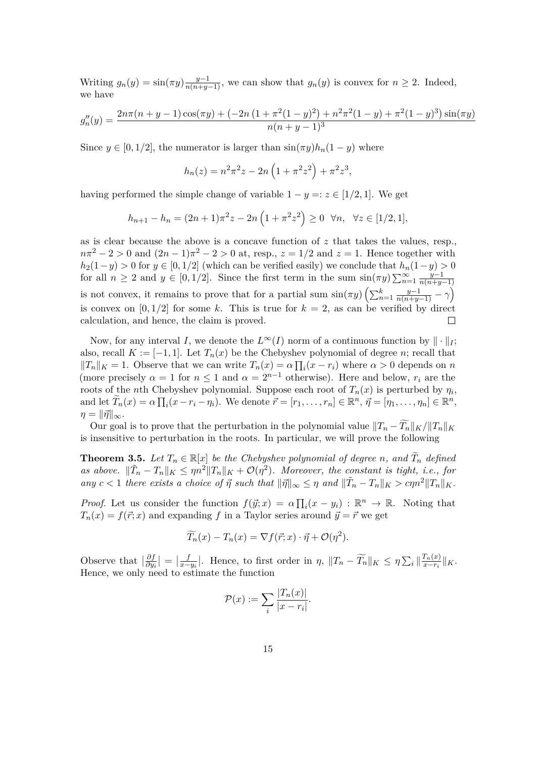Writing  $g_n(y) = \sin(\pi y) \frac{y-1}{n(n+y-1)}$ , we can show that  $g_n(y)$  is convex for  $n \geq 2$ . Indeed, we have

$$
g''_n(y) = \frac{2n\pi(n+y-1)\cos(\pi y) + (-2n(1+\pi^2(1-y)^2) + n^2\pi^2(1-y) + \pi^2(1-y)^3)\sin(\pi y)}{n(n+y-1)^3}
$$

Since  $y \in [0, 1/2]$ , the numerator is larger than  $\sin(\pi y)h_n(1-y)$  where

$$
h_n(z) = n^2 \pi^2 z - 2n \left( 1 + \pi^2 z^2 \right) + \pi^2 z^3,
$$

having performed the simple change of variable  $1 - y =: z \in [1/2, 1]$ . We get

$$
h_{n+1} - h_n = (2n+1)\pi^2 z - 2n\left(1 + \pi^2 z^2\right) \ge 0 \ \ \forall n, \ \ \forall z \in [1/2, 1],
$$

as is clear because the above is a concave function of *z* that takes the values, resp.,  $n\pi^2 - 2 > 0$  and  $(2n - 1)\pi^2 - 2 > 0$  at, resp.,  $z = 1/2$  and  $z = 1$ . Hence together with *h*<sub>2</sub>(1−*y*) > 0 for *y* ∈ [0*,* 1/2] (which can be verified easily) we conclude that  $h_n(1-y) > 0$ for all  $n \geq 2$  and  $y \in [0, 1/2]$ . Since the first term in the sum  $\sin(\pi y) \sum_{n=1}^{\infty} \frac{y-1}{n(n+y-1)}$ *n*(*n*+*y*−1) is not convex, it remains to prove that for a partial sum  $\sin(\pi y) \left( \sum_{n=1}^{k} \frac{y-1}{n(n+y-1)} - \gamma \right)$ is convex on  $[0, 1/2]$  for some k. This is true for  $k = 2$ , as can be verified by direct calculation, and hence, the claim is proved.  $\Box$ 

Now, for any interval *I*, we denote the  $L^{\infty}(I)$  norm of a continuous function by  $\|\cdot\|_I$ ; also, recall  $K := [-1, 1]$ . Let  $T_n(x)$  be the Chebyshev polynomial of degree *n*; recall that  $||T_n||_K = 1$ . Observe that we can write  $T_n(x) = \alpha \prod_i (x - r_i)$  where  $\alpha > 0$  depends on *n* (more precisely  $\alpha = 1$  for  $n \leq 1$  and  $\alpha = 2^{n-1}$  otherwise). Here and below,  $r_i$  are the roots of the *n*th Chebyshev polynomial. Suppose each root of  $T_n(x)$  is perturbed by  $\eta_i$ , and let  $\widetilde{T}_n(x) = \alpha \prod_i (x - r_i - \eta_i)$ . We denote  $\vec{r} = [r_1, \dots, r_n] \in \mathbb{R}^n$ ,  $\vec{\eta} = [\eta_1, \dots, \eta_n] \in \mathbb{R}^n$ ,  $\eta = ||\vec{\eta}||_{\infty}$ .

Our goal is to prove that the perturbation in the polynomial value  $||T_n - \widetilde{T}_n||_K / ||T_n||_K$ is insensitive to perturbation in the roots. In particular, we will prove the following

<span id="page-14-0"></span>**Theorem 3.5.** Let  $T_n \in \mathbb{R}[x]$  be the Chebyshev polynomial of degree *n*, and  $\widetilde{T}_n$  defined *as above.*  $\|\tilde{T}_n - T_n\|_K \le \eta n^2 \|T_n\|_K + \mathcal{O}(\eta^2)$ *. Moreover, the constant is tight, i.e., for*  $\int$  *any*  $c < 1$  *there exists a choice of*  $\vec{\eta}$  *such that*  $\|\vec{\eta}\|_{\infty} \leq \eta$  *and*  $\|\tilde{T}_n - T_n\|_K > c\eta n^2 \|T_n\|_K$ .

*Proof.* Let us consider the function  $f(\vec{y}; x) = \alpha \prod_i (x - y_i) : \mathbb{R}^n \to \mathbb{R}$ . Noting that  $T_n(x) = f(\vec{r}; x)$  and expanding *f* in a Taylor series around  $\vec{y} = \vec{r}$  we get

$$
\widetilde{T}_n(x) - T_n(x) = \nabla f(\vec{r}; x) \cdot \vec{\eta} + \mathcal{O}(\eta^2).
$$

Observe that  $\frac{\partial f}{\partial y}$  $\frac{\partial f}{\partial y_i}$   $\big| = \big| \frac{f}{x-}$  $\frac{f}{x-y_i}$ . Hence, to first order in *η*,  $||T_n - \widetilde{T_n}||_K \leq \eta \sum_i \left||\frac{T_n(x)}{x-r_i}\right||_K$  $\frac{I_n(x)}{x-r_i}$ ||*K*. Hence, we only need to estimate the function

$$
\mathcal{P}(x) := \sum_{i} \frac{|T_n(x)|}{|x - r_i|}.
$$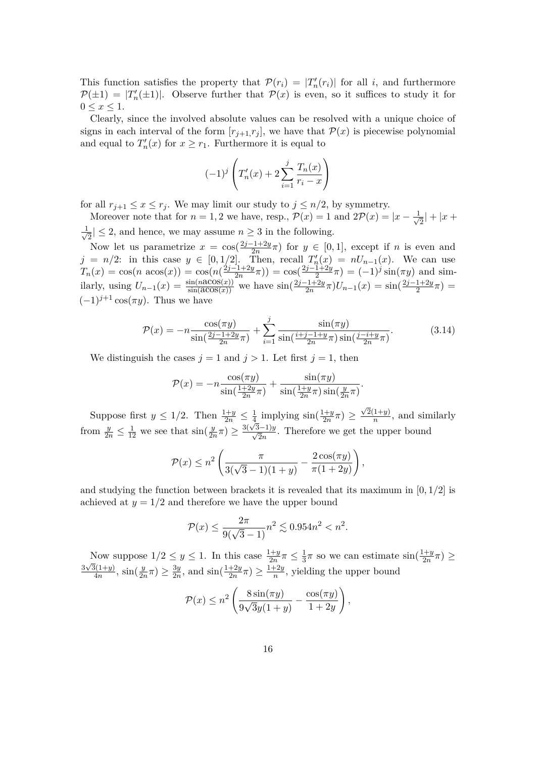This function satisfies the property that  $\mathcal{P}(r_i) = |T'_n(r_i)|$  for all *i*, and furthermore  $\mathcal{P}(\pm 1) = |T'_n(\pm 1)|$ . Observe further that  $\mathcal{P}(x)$  is even, so it suffices to study it for  $0 \leq x \leq 1$ .

Clearly, since the involved absolute values can be resolved with a unique choice of signs in each interval of the form  $[r_{j+1}, r_j]$ , we have that  $\mathcal{P}(x)$  is piecewise polynomial and equal to  $T'_{n}(x)$  for  $x \geq r_{1}$ . Furthermore it is equal to

$$
(-1)^{j} \left( T'_{n}(x) + 2 \sum_{i=1}^{j} \frac{T_{n}(x)}{r_{i} - x} \right)
$$

for all  $r_{j+1} \leq x \leq r_j$ . We may limit our study to  $j \leq n/2$ , by symmetry.

Moreover note that for  $n = 1, 2$  we have, resp.,  $\mathcal{P}(x) = 1$  and  $2\mathcal{P}(x) = |x - \frac{1}{\sqrt{2}}\rangle$  $\frac{1}{2}|+|x+$  $\frac{1}{\sqrt{2}}$  $\frac{1}{2} \leq 2$ , and hence, we may assume  $n \geq 3$  in the following.

Now let us parametrize  $x = \cos(\frac{2j-1+2y}{2n}\pi)$  for  $y \in [0,1]$ , except if *n* is even and  $j = n/2$ : in this case  $y \in [0, 1/2]$ . Then, recall  $T'_n(x) = nU_{n-1}(x)$ . We can use  $T_n(x) = \cos(n \arccos(x)) = \cos(n(\frac{2j-1+2y}{2n}))$  $\frac{(2j-1+2y)}{2n}\pi$ )) = cos( $\frac{2j-1+2y}{2}$  $\frac{1+2y}{2}\pi$  =  $(-1)^{j}$  sin( $\pi y$ ) and similarly, using  $U_{n-1}(x) = \frac{\sin(n\alpha\cos(x))}{\sin(\alpha\cos(x))}$  we have  $\sin(\frac{2j-1+2y}{2n})$  $\frac{-1+2y}{2n}\pi$ ) $U_{n-1}(x) = \sin(\frac{2j-1+2y}{2})$  $\frac{1+2y}{2}\pi) =$  $(-1)^{j+1}$  cos( $\pi y$ ). Thus we have

<span id="page-15-0"></span>
$$
\mathcal{P}(x) = -n \frac{\cos(\pi y)}{\sin(\frac{2j-1+2y}{2n}\pi)} + \sum_{i=1}^{j} \frac{\sin(\pi y)}{\sin(\frac{i+j-1+y}{2n}\pi)\sin(\frac{j-i+y}{2n}\pi)}.
$$
(3.14)

We distinguish the cases  $j = 1$  and  $j > 1$ . Let first  $j = 1$ , then

$$
\mathcal{P}(x) = -n \frac{\cos(\pi y)}{\sin(\frac{1+2y}{2n}\pi)} + \frac{\sin(\pi y)}{\sin(\frac{1+y}{2n}\pi)\sin(\frac{y}{2n}\pi)}.
$$

Suppose first  $y \leq 1/2$ . Then  $\frac{1+y}{2n} \leq \frac{1}{4}$  $\frac{1}{4}$  implying  $\sin(\frac{1+y}{2n})$  $\frac{1+y}{2n}\pi) \geq$  $\sqrt{2}(1+y)$  $\frac{1+yj}{n}$ , and similarly from  $\frac{y}{2n} \leq \frac{1}{12}$  we see that  $\sin(\frac{y}{2n}\pi) \geq \frac{3(\sqrt{3}-1)y}{\sqrt{2n}}$ . Therefore we get the upper bound

$$
\mathcal{P}(x) \leq n^2 \left( \frac{\pi}{3(\sqrt{3}-1)(1+y)} - \frac{2\cos(\pi y)}{\pi(1+2y)} \right),\,
$$

and studying the function between brackets it is revealed that its maximum in [0*,* 1*/*2] is achieved at  $y = 1/2$  and therefore we have the upper bound

$$
\mathcal{P}(x) \le \frac{2\pi}{9(\sqrt{3}-1)}n^2 \lesssim 0.954n^2 < n^2.
$$

Now suppose  $1/2 \leq y \leq 1$ . In this case  $\frac{1+y}{2n}\pi \leq \frac{1}{3}$  $\frac{1}{3}\pi$  so we can estimate  $\sin(\frac{1+y}{2n})$  $\frac{1+y}{2n}\pi) \geq$  $3\sqrt{3}(1+y)$  $\frac{3(1+y)}{4n}$ ,  $\sin(\frac{y}{2n}\pi) \ge \frac{3y}{2n}$  $\frac{3y}{2n}$ , and  $\sin(\frac{1+2y}{2n}\pi) \ge \frac{1+2y}{n}$  $\frac{f^2}{n}$ , yielding the upper bound

$$
\mathcal{P}(x) \leq n^2 \left( \frac{8 \sin(\pi y)}{9\sqrt{3}y(1+y)} - \frac{\cos(\pi y)}{1+2y} \right),\,
$$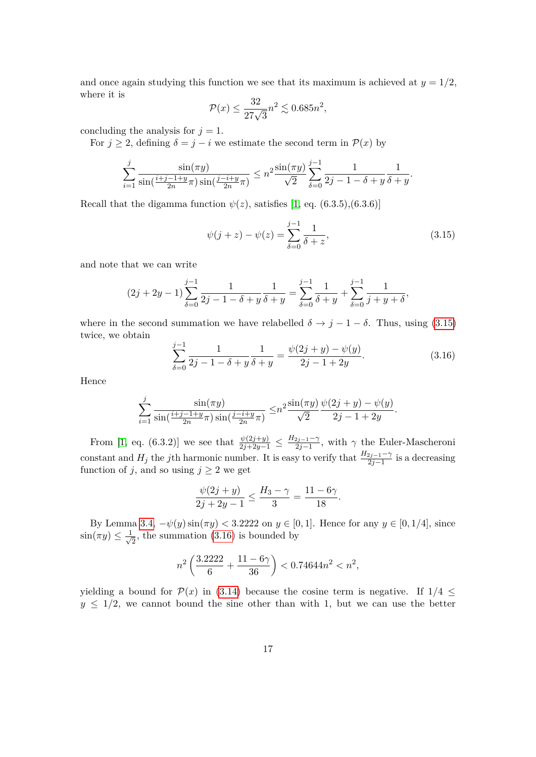and once again studying this function we see that its maximum is achieved at  $y = 1/2$ , where it is

$$
\mathcal{P}(x) \le \frac{32}{27\sqrt{3}}n^2 \lesssim 0.685n^2,
$$

concluding the analysis for  $j = 1$ .

For  $j \geq 2$ , defining  $\delta = j - i$  we estimate the second term in  $\mathcal{P}(x)$  by

$$
\sum_{i=1}^{j} \frac{\sin(\pi y)}{\sin(\frac{i+j-1+y}{2n}\pi)\sin(\frac{j-i+y}{2n}\pi)} \leq n^2 \frac{\sin(\pi y)}{\sqrt{2}} \sum_{\delta=0}^{j-1} \frac{1}{2j-1-\delta+y} \frac{1}{\delta+y}.
$$

Recall that the digamma function  $\psi(z)$ , satisfies [\[1,](#page-36-11) eq. (6.3.5),(6.3.6)]

<span id="page-16-0"></span>
$$
\psi(j+z) - \psi(z) = \sum_{\delta=0}^{j-1} \frac{1}{\delta + z},\tag{3.15}
$$

and note that we can write

$$
(2j + 2y - 1)\sum_{\delta=0}^{j-1} \frac{1}{2j - 1 - \delta + y} \frac{1}{\delta + y} = \sum_{\delta=0}^{j-1} \frac{1}{\delta + y} + \sum_{\delta=0}^{j-1} \frac{1}{j + y + \delta},
$$

where in the second summation we have relabelled  $\delta \rightarrow j - 1 - \delta$ . Thus, using [\(3.15\)](#page-16-0) twice, we obtain

<span id="page-16-1"></span>
$$
\sum_{\delta=0}^{j-1} \frac{1}{2j-1-\delta+y} \frac{1}{\delta+y} = \frac{\psi(2j+y) - \psi(y)}{2j-1+2y}.
$$
 (3.16)

Hence

$$
\sum_{i=1}^{j} \frac{\sin(\pi y)}{\sin(\frac{i+j-1+y}{2n}\pi)\sin(\frac{j-i+y}{2n}\pi)} \leq n^2 \frac{\sin(\pi y)}{\sqrt{2}} \frac{\psi(2j+y) - \psi(y)}{2j-1+2y}.
$$

From [\[1,](#page-36-11) eq. (6.3.2)] we see that  $\frac{\psi(2j+y)}{2j+2y-1} \leq \frac{H_{2j-1}-\gamma}{2j-1}$ 2*j*−1 , with *γ* the Euler-Mascheroni constant and  $H_j$  the *j*th harmonic number. It is easy to verify that  $\frac{H_{2j-1}-\gamma}{2j-1}$  is a decreasing function of *j*, and so using  $j \geq 2$  we get

$$
\frac{\psi(2j + y)}{2j + 2y - 1} \le \frac{H_3 - \gamma}{3} = \frac{11 - 6\gamma}{18}.
$$

By Lemma [3.4,](#page-13-0)  $-ψ(y) sin(πy) < 3.2222$  on  $y ∈ [0, 1]$ . Hence for any  $y ∈ [0, 1/4]$ , since  $\sin(\pi y) \leq \frac{1}{\sqrt{2}}$  $\frac{1}{2}$ , the summation [\(3.16\)](#page-16-1) is bounded by

$$
n^2\left(\frac{3.2222}{6} + \frac{11-6\gamma}{36}\right) < 0.74644n^2 < n^2,
$$

yielding a bound for  $\mathcal{P}(x)$  in [\(3.14\)](#page-15-0) because the cosine term is negative. If  $1/4 \leq$  $y \leq 1/2$ , we cannot bound the sine other than with 1, but we can use the better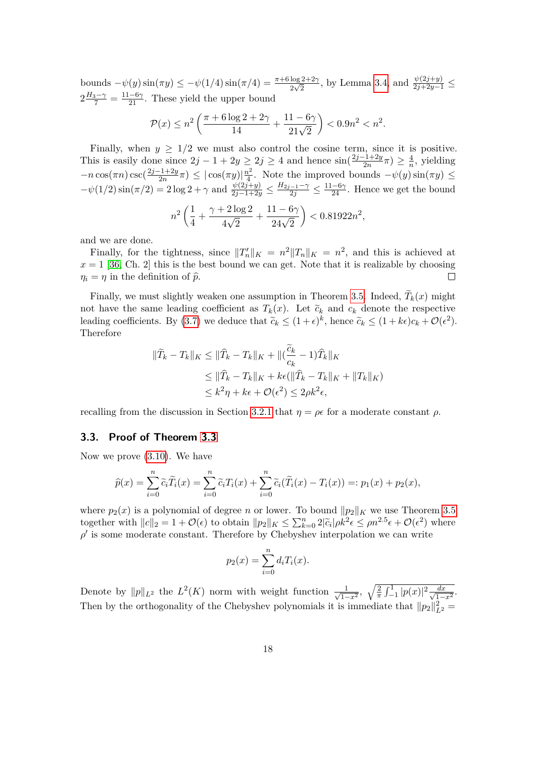bounds  $-\psi(y)\sin(\pi y)$  ≤  $-\psi(1/4)\sin(\pi/4) = \frac{\pi+6\log 2+2\gamma}{2\sqrt{2}}$ , by Lemma [3.4,](#page-13-0) and  $\frac{\psi(2j+y)}{2j+2y-1}$  ≤  $2\frac{H_3-\gamma}{7}=\frac{11-6\gamma}{21}$ . These yield the upper bound

$$
\mathcal{P}(x) \le n^2 \left( \frac{\pi + 6\log 2 + 2\gamma}{14} + \frac{11 - 6\gamma}{21\sqrt{2}} \right) < 0.9n^2 < n^2.
$$

Finally, when  $y \geq 1/2$  we must also control the cosine term, since it is positive. This is easily done since  $2j - 1 + 2y \geq 2j \geq 4$  and hence  $\sin(\frac{2j-1+2y}{2n})$  $\frac{(-1+2y)}{2n}\pi$ )  $\geq \frac{4}{n}$  $\frac{4}{n}$ , yielding −*n* cos(*πn*) csc( 2*j*−1+2*y*  $\frac{-1+2y}{2n}\pi$   $\leq$   $|\cos(\pi y)|\frac{n^2}{4}$  $\frac{u^2}{4}$ . Note the improved bounds  $-\psi(y)\sin(\pi y) \le$  $-\psi(1/2)\sin(\pi/2) = 2\log 2 + \gamma$  and  $\frac{\psi(2j+y)}{2j-1+2y} \le \frac{H_{2j-1}-\gamma}{2j} \le \frac{11-6\gamma}{24}$ . Hence we get the bound

$$
n^2 \left(\frac{1}{4} + \frac{\gamma + 2\log 2}{4\sqrt{2}} + \frac{11 - 6\gamma}{24\sqrt{2}}\right) < 0.81922n^2,
$$

and we are done.

Finally, for the tightness, since  $||T'_n||_K = n^2 ||T_n||_K = n^2$ , and this is achieved at  $x = 1$  [\[36,](#page-38-13) Ch. 2] this is the best bound we can get. Note that it is realizable by choosing  $\eta_i = \eta$  in the definition of  $\hat{p}$ .  $\Box$ 

Finally, we must slightly weaken one assumption in Theorem [3.5.](#page-14-0) Indeed,  $T_k(x)$  might not have the same leading coefficient as  $T_k(x)$ . Let  $\tilde{c}_k$  and  $c_k$  denote the respective leading coefficients. By [\(3.7\)](#page-11-1) we deduce that  $\tilde{c}_k \leq (1+\epsilon)^k$ , hence  $\tilde{c}_k \leq (1+k\epsilon)c_k + \mathcal{O}(\epsilon^2)$ . Therefore

$$
\begin{aligned} \|\widetilde{T}_k - T_k\|_K &\leq \|\widehat{T}_k - T_k\|_K + \|(\frac{\widetilde{c}_k}{c_k} - 1)\widehat{T}_k\|_K \\ &\leq \|\widehat{T}_k - T_k\|_K + k\epsilon(\|\widehat{T}_k - T_k\|_K + \|T_k\|_K) \\ &\leq k^2\eta + k\epsilon + \mathcal{O}(\epsilon^2) \leq 2\rho k^2\epsilon, \end{aligned}
$$

recalling from the discussion in Section [3.2.1](#page-12-3) that  $η = ρε$  for a moderate constant  $ρ$ .

### <span id="page-17-0"></span>**3.3. Proof of Theorem [3.3](#page-11-4)**

Now we prove [\(3.10\)](#page-11-5). We have

$$
\widehat{p}(x) = \sum_{i=0}^n \widetilde{c}_i \widetilde{T}_i(x) = \sum_{i=0}^n \widetilde{c}_i T_i(x) + \sum_{i=0}^n \widetilde{c}_i (\widetilde{T}_i(x) - T_i(x)) =: p_1(x) + p_2(x),
$$

where  $p_2(x)$  is a polynomial of degree *n* or lower. To bound  $||p_2||_K$  we use Theorem [3.5](#page-14-0) together with  $||c||_2 = 1 + \mathcal{O}(\epsilon)$  to obtain  $||p_2||_K \leq \sum_{k=0}^n 2|\tilde{c}_i|\rho k^2 \epsilon \leq \rho n^{2.5} \epsilon + \mathcal{O}(\epsilon^2)$  where  $\rho'$  is some moderate constant. Therefore by Chebyshev interpolation we can write

$$
p_2(x) = \sum_{i=0}^n d_i T_i(x).
$$

Denote by  $||p||_{L^2}$  the  $L^2(K)$  norm with weight function  $\frac{1}{\sqrt{1-\epsilon}}$  $\frac{1}{(1-x^2}, \sqrt{\frac{2}{\pi} \int_{-1}^{1} |p(x)|^2 \frac{dx}{\sqrt{1-x^2}}}$  $rac{dx}{1-x^2}$ . Then by the orthogonality of the Chebyshev polynomials it is immediate that  $||p_2||^2_{L^2} =$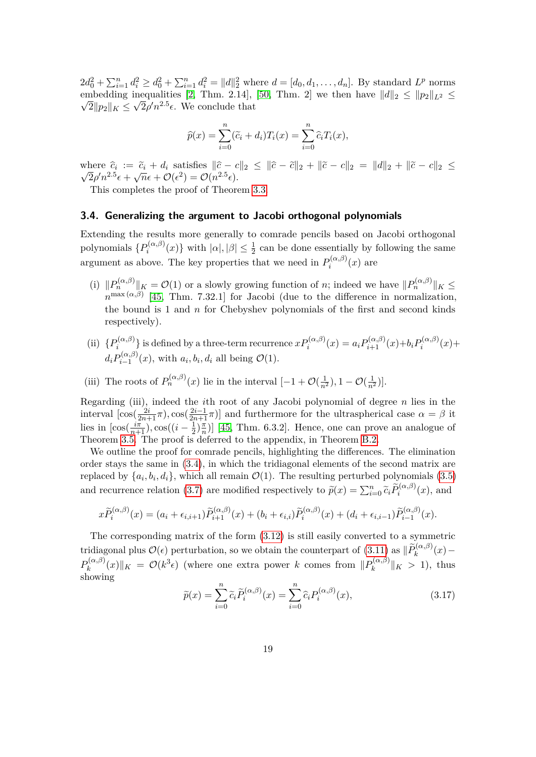$2d_0^2 + \sum_{i=1}^n d_i^2 \ge d_0^2 + \sum_{i=1}^n d_i^2 = ||d||_2^2$  where  $d = [d_0, d_1, \dots, d_n]$ . By standard  $L^p$  norms embedding inequalities [\[2,](#page-36-13) Thm. 2.14], [\[50,](#page-39-2) Thm. 2] we then have  $||d||_2 \le ||p_2||_{L^2} \le$  $\overline{2}$ || $p_2$ || $_K \leq \sqrt{2}\rho'n^{2.5}\epsilon$ . We conclude that

$$
\widehat{p}(x) = \sum_{i=0}^{n} (\widetilde{c}_i + d_i) T_i(x) = \sum_{i=0}^{n} \widehat{c}_i T_i(x),
$$

where  $\hat{c}_i := \tilde{c}_i + d_i$  satisfies  $\|\hat{c} - c\|_2 \leq \|\hat{c} - \tilde{c}\|_2 + \|\tilde{c} - c\|_2 = \|d\|_2 + \|\tilde{c} - c\|_2 \leq$  $\overline{2}\rho' n^{2.5}\epsilon + \sqrt{n}\epsilon + \mathcal{O}(\epsilon^2) = \mathcal{O}(n^{2.5}\epsilon).$ 

This completes the proof of Theorem [3.3.](#page-11-4)

### **3.4. Generalizing the argument to Jacobi orthogonal polynomials**

Extending the results more generally to comrade pencils based on Jacobi orthogonal polynomials  $\{P_i^{(\alpha,\beta)}\}$  $\{a_i^{(\alpha,\beta)}(x)\}$  with  $|\alpha|, |\beta| \leq \frac{1}{2}$  can be done essentially by following the same argument as above. The key properties that we need in  $P_i^{(\alpha,\beta)}$  $\Omega_i^{(\alpha,\beta)}(x)$  are

- (i)  $||P_n^{(\alpha,\beta)}||_K = \mathcal{O}(1)$  or a slowly growing function of *n*; indeed we have  $||P_n^{(\alpha,\beta)}||_K \leq$  $n^{\max(\alpha,\beta)}$  [\[45,](#page-38-8) Thm. 7.32.1] for Jacobi (due to the difference in normalization, the bound is 1 and *n* for Chebyshev polynomials of the first and second kinds respectively).
- (ii)  $\{P_i^{(\alpha,\beta)}\}$  $p_i^{(\alpha,\beta)}$  is defined by a three-term recurrence  $x P_i^{(\alpha,\beta)}(x) = a_i P_{i+1}^{(\alpha,\beta)}(x) + b_i P_i^{(\alpha,\beta)}$  $\sum_{i}^{(\alpha,\beta)}(x) +$  $d_i P_{i-1}^{(\alpha,\beta)}$  $a_i^{(\alpha,\beta)}(x)$ , with  $a_i, b_i, d_i$  all being  $\mathcal{O}(1)$ .
- (iii) The roots of  $P_n^{(\alpha,\beta)}(x)$  lie in the interval  $[-1+\mathcal{O}(\frac{1}{n^2}), 1-\mathcal{O}(\frac{1}{n^2})]$ .

Regarding (iii), indeed the *i*th root of any Jacobi polynomial of degree *n* lies in the interval  $[\cos(\frac{2i}{2n+1}\pi), \cos(\frac{2i-1}{2n+1}\pi)]$  and furthermore for the ultraspherical case  $\alpha = \beta$  it lies in  $\left[\cos(\frac{i\pi}{n+1}), \cos((i - \frac{1}{2})\right]$  $\frac{1}{2}$ ) $\frac{\pi}{n}$  $\frac{\pi}{n}$ ] [\[45,](#page-38-8) Thm. 6.3.2]. Hence, one can prove an analogue of Theorem [3.5.](#page-14-0) The proof is deferred to the appendix, in Theorem [B.2.](#page-33-0)

We outline the proof for comrade pencils, highlighting the differences. The elimination order stays the same in [\(3.4\)](#page-9-1), in which the tridiagonal elements of the second matrix are replaced by  $\{a_i, b_i, d_i\}$ , which all remain  $\mathcal{O}(1)$ . The resulting perturbed polynomials  $(3.5)$ and recurrence relation [\(3.7\)](#page-11-1) are modified respectively to  $\tilde{p}(x) = \sum_{i=0}^{n} \tilde{c}_i \tilde{P}_i^{(\alpha,\beta)}(x)$ , and

$$
x\widetilde{P}_i^{(\alpha,\beta)}(x)=(a_i+\epsilon_{i,i+1})\widetilde{P}_{i+1}^{(\alpha,\beta)}(x)+(b_i+\epsilon_{i,i})\widetilde{P}_i^{(\alpha,\beta)}(x)+(d_i+\epsilon_{i,i-1})\widetilde{P}_{i-1}^{(\alpha,\beta)}(x).
$$

The corresponding matrix of the form [\(3.12\)](#page-12-2) is still easily converted to a symmetric tridiagonal plus  $\mathcal{O}(\epsilon)$  perturbation, so we obtain the counterpart of  $(3.11)$  as  $\|\widetilde{P}_k^{(\alpha,\beta)}(x) P_k^{(\alpha,\beta)}$  $\mathcal{P}_k^{(\alpha,\beta)}(x)\|_K = \mathcal{O}(k^3 \epsilon)$  (where one extra power *k* comes from  $\|P_k^{(\alpha,\beta)}\|_K$  $\|k^{(\alpha,\beta)}\|_K > 1$ , thus showing

$$
\widetilde{p}(x) = \sum_{i=0}^{n} \widetilde{c}_i \widetilde{P}_i^{(\alpha,\beta)}(x) = \sum_{i=0}^{n} \widehat{c}_i P_i^{(\alpha,\beta)}(x),\tag{3.17}
$$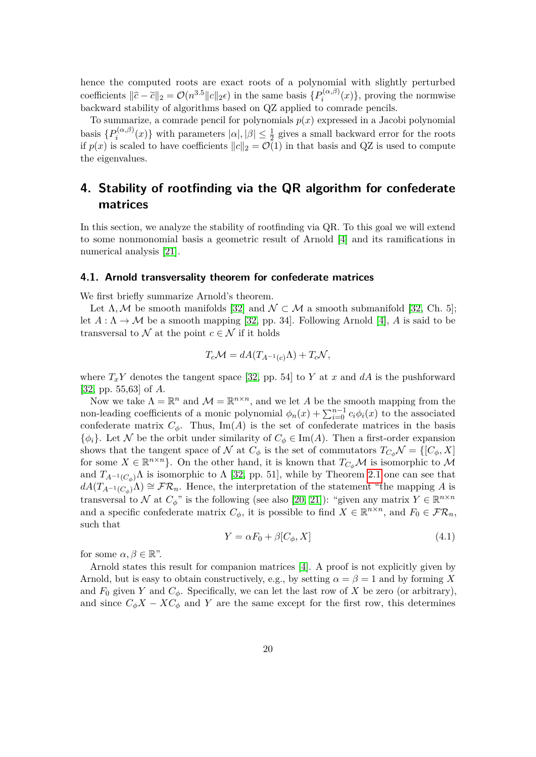hence the computed roots are exact roots of a polynomial with slightly perturbed coefficients  $\|\hat{c} - \tilde{c}\|_2 = \mathcal{O}(n^{3.5} \|c\|_2 \epsilon)$  in the same basis  $\{P_i^{(\alpha,\beta)}\}$  $\mathcal{P}_i^{(\alpha,\beta)}(x)$ , proving the normwise backward stability of algorithms based on QZ applied to comrade pencils.

To summarize, a comrade pencil for polynomials  $p(x)$  expressed in a Jacobi polynomial basis  $\{P_i^{(\alpha,\beta)}\}$  $\{a_i^{(\alpha,\beta)}(x)\}$  with parameters  $|\alpha|, |\beta| \leq \frac{1}{2}$  gives a small backward error for the roots if  $p(x)$  is scaled to have coefficients  $||c||_2 = \mathcal{O}(1)$  in that basis and QZ is used to compute the eigenvalues.

# <span id="page-19-0"></span>**4. Stability of rootfinding via the QR algorithm for confederate matrices**

In this section, we analyze the stability of rootfinding via QR. To this goal we will extend to some nonmonomial basis a geometric result of Arnold [\[4\]](#page-36-14) and its ramifications in numerical analysis [\[21\]](#page-37-4).

### **4.1. Arnold transversality theorem for confederate matrices**

We first briefly summarize Arnold's theorem.

Let  $\Lambda, \mathcal{M}$  be smooth manifolds [\[32\]](#page-37-13) and  $\mathcal{N} \subset \mathcal{M}$  a smooth submanifold [\[32,](#page-37-13) Ch. 5]; let  $A : \Lambda \to \mathcal{M}$  be a smooth mapping [\[32,](#page-37-13) pp. 34]. Following Arnold [\[4\]](#page-36-14), A is said to be transversal to  $\mathcal N$  at the point  $c \in \mathcal N$  if it holds

$$
T_c \mathcal{M} = dA(T_{A^{-1}(c)}\Lambda) + T_c \mathcal{N},
$$

where  $T_xY$  denotes the tangent space [\[32,](#page-37-13) pp. 54] to *Y* at *x* and *dA* is the pushforward [\[32,](#page-37-13) pp. 55,63] of *A*.

Now we take  $\Lambda = \mathbb{R}^n$  and  $\mathcal{M} = \mathbb{R}^{n \times n}$ , and we let A be the smooth mapping from the non-leading coefficients of a monic polynomial  $\phi_n(x) + \sum_{i=0}^{n-1} c_i \phi_i(x)$  to the associated confederate matrix  $C_{\phi}$ . Thus, Im(A) is the set of confederate matrices in the basis  $\{\phi_i\}$ . Let N be the orbit under similarity of  $C_\phi \in \text{Im}(A)$ . Then a first-order expansion shows that the tangent space of N at  $C_{\phi}$  is the set of commutators  $T_{C_{\phi}}\mathcal{N} = \{[C_{\phi}, X]\}$ for some  $X \in \mathbb{R}^{n \times n}$ . On the other hand, it is known that  $T_{C_{\phi}}\mathcal{M}$  is isomorphic to M and  $T_{A^{-1}(C_{\phi})}\Lambda$  is isomorphic to  $\Lambda$  [\[32,](#page-37-13) pp. 51], while by Theorem [2.1](#page-5-0) one can see that  $dA(T_{A^{-1}(C_{\phi})}\Lambda) \cong \mathcal{FR}_n$ . Hence, the interpretation of the statement "the mapping *A* is transversal to N at  $C_{\phi}$ " is the following (see also [\[20,](#page-37-5) [21\]](#page-37-4)): "given any matrix  $Y \in \mathbb{R}^{n \times n}$ and a specific confederate matrix  $C_{\phi}$ , it is possible to find  $X \in \mathbb{R}^{n \times n}$ , and  $F_0 \in \mathcal{FR}_n$ , such that

<span id="page-19-1"></span>
$$
Y = \alpha F_0 + \beta [C_{\phi}, X] \tag{4.1}
$$

for some  $\alpha, \beta \in \mathbb{R}^n$ .

Arnold states this result for companion matrices [\[4\]](#page-36-14). A proof is not explicitly given by Arnold, but is easy to obtain constructively, e.g., by setting  $\alpha = \beta = 1$  and by forming X and  $F_0$  given  $Y$  and  $C_\phi$ . Specifically, we can let the last row of  $X$  be zero (or arbitrary), and since  $C_{\phi}X - XC_{\phi}$  and *Y* are the same except for the first row, this determines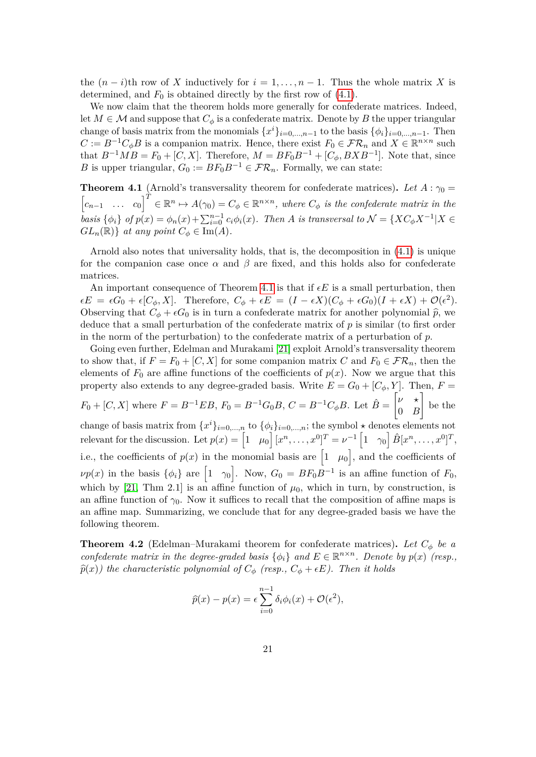the  $(n-i)$ th row of *X* inductively for  $i = 1, \ldots, n-1$ . Thus the whole matrix *X* is determined, and  $F_0$  is obtained directly by the first row of  $(4.1)$ .

We now claim that the theorem holds more generally for confederate matrices. Indeed, let  $M \in \mathcal{M}$  and suppose that  $C_{\phi}$  is a confederate matrix. Denote by *B* the upper triangular change of basis matrix from the monomials  $\{x^{i}\}_{i=0,\dots,n-1}$  to the basis  $\{\phi_{i}\}_{i=0,\dots,n-1}$ . Then  $C := B^{-1}C_{\phi}B$  is a companion matrix. Hence, there exist  $F_0 \in \mathcal{FR}_n$  and  $X \in \mathbb{R}^{n \times n}$  such that  $B^{-1}MB = F_0 + [C, X]$ . Therefore,  $M = BF_0B^{-1} + [C_{\phi}, BXB^{-1}]$ . Note that, since *B* is upper triangular,  $G_0 := BF_0B^{-1} \in \mathcal{FR}_n$ . Formally, we can state:

<span id="page-20-0"></span>**Theorem 4.1** (Arnold's transversality theorem for confederate matrices). Let  $A : \gamma_0 =$  $\begin{bmatrix} c_{n-1} & \dots & c_0 \end{bmatrix}^T \in \mathbb{R}^n \mapsto A(\gamma_0) = C_\phi \in \mathbb{R}^{n \times n}$ , where  $C_\phi$  is the confederate matrix in the basis  $\{\phi_i\}$  of  $p(x) = \phi_n(x) + \sum_{i=0}^{n-1} c_i \phi_i(x)$ . Then A is transversal to  $\mathcal{N} = \{XC_{\phi}X^{-1} | X \in$  $GL_n(\mathbb{R})$  *at any point*  $C_{\phi} \in \text{Im}(A)$ *.* 

Arnold also notes that universality holds, that is, the decomposition in [\(4.1\)](#page-19-1) is unique for the companion case once  $\alpha$  and  $\beta$  are fixed, and this holds also for confederate matrices.

An important consequence of Theorem [4.1](#page-20-0) is that if  $\epsilon E$  is a small perturbation, then  $\epsilon E = \epsilon G_0 + \epsilon [C_\phi, X]$ . Therefore,  $C_\phi + \epsilon E = (I - \epsilon X)(C_\phi + \epsilon G_0)(I + \epsilon X) + \mathcal{O}(\epsilon^2)$ . Observing that  $C_{\phi} + \epsilon G_0$  is in turn a confederate matrix for another polynomial  $\hat{p}$ , we deduce that a small perturbation of the confederate matrix of *p* is similar (to first order in the norm of the perturbation) to the confederate matrix of a perturbation of *p*.

Going even further, Edelman and Murakami [\[21\]](#page-37-4) exploit Arnold's transversality theorem to show that, if  $F = F_0 + [C, X]$  for some companion matrix  $C$  and  $F_0 \in \mathcal{FR}_n$ , then the elements of  $F_0$  are affine functions of the coefficients of  $p(x)$ . Now we argue that this property also extends to any degree-graded basis. Write  $E = G_0 + [C_{\phi}, Y]$ . Then,  $F =$  $F_0 + [C, X]$  where  $F = B^{-1}EB$ ,  $F_0 = B^{-1}G_0B$ ,  $C = B^{-1}C_{\phi}B$ . Let  $\hat{B} = \begin{bmatrix} \nu & \star \\ 0 & E \end{bmatrix}$ 0 *B* 1 be the change of basis matrix from  $\{x^i\}_{i=0,\dots,n}$  to  $\{\phi_i\}_{i=0,\dots,n}$ ; the symbol  $\star$  denotes elements not  $\text{relevant for the discussion. Let } p(x) = \begin{bmatrix} 1 & \mu_0 \end{bmatrix} [x^n, \ldots, x^0]^T = \nu^{-1} \begin{bmatrix} 1 & \gamma_0 \end{bmatrix} \hat{B} [x^n, \ldots, x^0]^T,$ i.e., the coefficients of  $p(x)$  in the monomial basis are  $\begin{bmatrix} 1 & \mu_0 \end{bmatrix}$ , and the coefficients of  $\nu p(x)$  in the basis  $\{\phi_i\}$  are  $\begin{bmatrix} 1 & \gamma_0 \end{bmatrix}$ . Now,  $G_0 = BF_0B^{-1}$  is an affine function of  $F_0$ , which by [\[21,](#page-37-4) Thm 2.1] is an affine function of  $\mu_0$ , which in turn, by construction, is an affine function of  $\gamma_0$ . Now it suffices to recall that the composition of affine maps is an affine map. Summarizing, we conclude that for any degree-graded basis we have the following theorem.

<span id="page-20-1"></span>**Theorem 4.2** (Edelman–Murakami theorem for confederate matrices)**.** *Let C<sup>φ</sup> be a confederate matrix in the degree-graded basis*  $\{\phi_i\}$  and  $E \in \mathbb{R}^{n \times n}$ . Denote by  $p(x)$  (resp.,  $\hat{p}(x)$ *)* the characteristic polynomial of  $C_{\phi}$  (resp.,  $C_{\phi} + \epsilon E$ ). Then it holds

$$
\widehat{p}(x) - p(x) = \epsilon \sum_{i=0}^{n-1} \delta_i \phi_i(x) + \mathcal{O}(\epsilon^2),
$$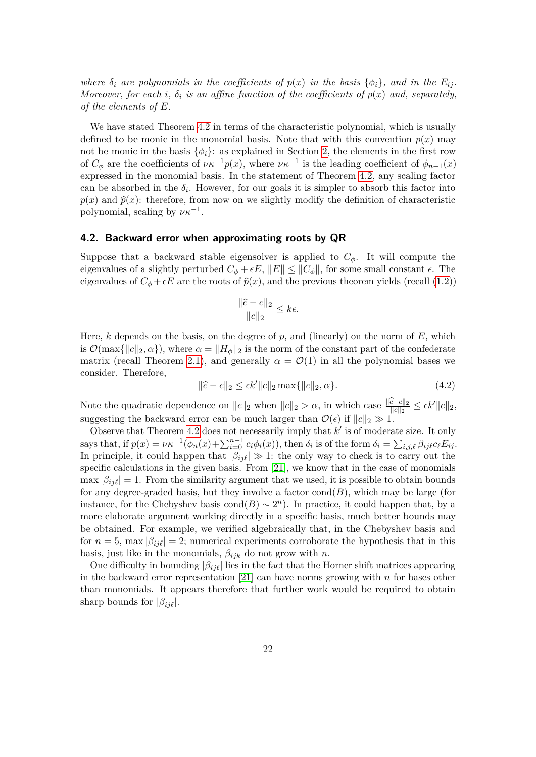*where*  $\delta_i$  *are polynomials in the coefficients of*  $p(x)$  *in the basis*  $\{\phi_i\}$ *, and in the*  $E_{ij}$ *. Moreover, for each i,*  $\delta_i$  *is an affine function of the coefficients of*  $p(x)$  *and, separately, of the elements of E.*

We have stated Theorem [4.2](#page-20-1) in terms of the characteristic polynomial, which is usually defined to be monic in the monomial basis. Note that with this convention  $p(x)$  may not be monic in the basis  $\{\phi_i\}$ : as explained in Section [2,](#page-4-0) the elements in the first row of  $C_{\phi}$  are the coefficients of  $\nu \kappa^{-1} p(x)$ , where  $\nu \kappa^{-1}$  is the leading coefficient of  $\phi_{n-1}(x)$ expressed in the monomial basis. In the statement of Theorem [4.2,](#page-20-1) any scaling factor can be absorbed in the  $\delta_i$ . However, for our goals it is simpler to absorb this factor into  $p(x)$  and  $\hat{p}(x)$ : therefore, from now on we slightly modify the definition of characteristic polynomial, scaling by  $\nu \kappa^{-1}$ .

### **4.2. Backward error when approximating roots by QR**

Suppose that a backward stable eigensolver is applied to  $C_{\phi}$ . It will compute the eigenvalues of a slightly perturbed  $C_{\phi} + \epsilon E$ ,  $||E|| \leq ||C_{\phi}||$ , for some small constant  $\epsilon$ . The eigenvalues of  $C_{\phi} + \epsilon E$  are the roots of  $\hat{p}(x)$ , and the previous theorem yields (recall [\(1.2\)](#page-2-0))

$$
\frac{\|\hat{c} - c\|_2}{\|c\|_2} \le k\epsilon.
$$

Here, *k* depends on the basis, on the degree of *p*, and (linearly) on the norm of *E*, which is  $\mathcal{O}(\max\{|c\|_2, \alpha\})$ , where  $\alpha = \|H_{\phi}\|_2$  is the norm of the constant part of the confederate matrix (recall Theorem [2.1\)](#page-5-0), and generally  $\alpha = \mathcal{O}(1)$  in all the polynomial bases we consider. Therefore,

$$
\|\hat{c} - c\|_2 \le \epsilon k' \|c\|_2 \max\{\|c\|_2, \alpha\}.\tag{4.2}
$$

Note the quadratic dependence on  $||c||_2$  when  $||c||_2 > \alpha$ , in which case  $\frac{||\hat{c} - c||_2}{||c||_2} \leq \epsilon k'||c||_2$ , suggesting the backward error can be much larger than  $\mathcal{O}(\epsilon)$  if  $||c||_2 \gg 1$ .

Observe that Theorem [4.2](#page-20-1) does not necessarily imply that  $k'$  is of moderate size. It only says that, if  $p(x) = \nu \kappa^{-1}(\phi_n(x) + \sum_{i=0}^{n-1} c_i \phi_i(x))$ , then  $\delta_i$  is of the form  $\delta_i = \sum_{i,j,\ell} \beta_{ij\ell} c_\ell E_{ij}$ . In principle, it could happen that  $|\beta_{ij\ell}| \gg 1$ : the only way to check is to carry out the specific calculations in the given basis. From [\[21\]](#page-37-4), we know that in the case of monomials  $\max |\beta_{ij}\ell|=1$ . From the similarity argument that we used, it is possible to obtain bounds for any degree-graded basis, but they involve a factor  $cond(B)$ , which may be large (for instance, for the Chebyshev basis cond $(B) \sim 2^n$ ). In practice, it could happen that, by a more elaborate argument working directly in a specific basis, much better bounds may be obtained. For example, we verified algebraically that, in the Chebyshev basis and for  $n = 5$ , max  $|\beta_{ii\ell}| = 2$ ; numerical experiments corroborate the hypothesis that in this basis, just like in the monomials,  $\beta_{ijk}$  do not grow with *n*.

One difficulty in bounding  $|\beta_{ij\ell}|$  lies in the fact that the Horner shift matrices appearing in the backward error representation [\[21\]](#page-37-4) can have norms growing with *n* for bases other than monomials. It appears therefore that further work would be required to obtain sharp bounds for  $|\beta_{ij\ell}|$ .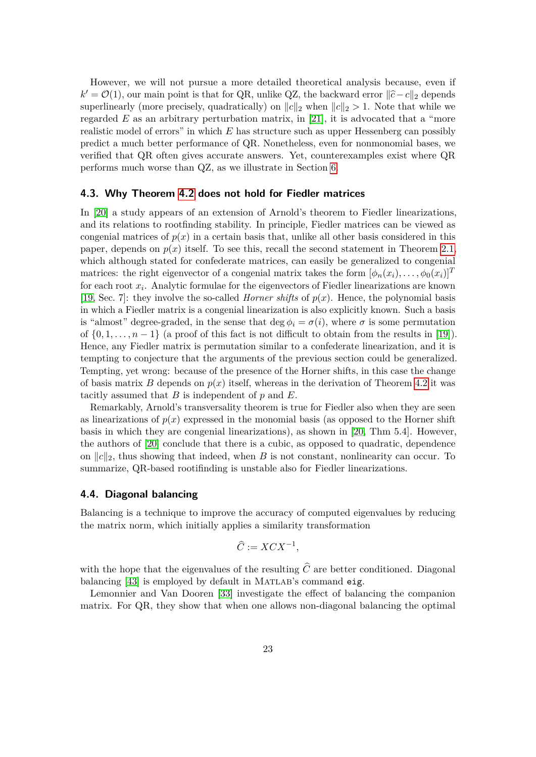However, we will not pursue a more detailed theoretical analysis because, even if  $k' = \mathcal{O}(1)$ , our main point is that for QR, unlike QZ, the backward error  $\|\hat{c} - c\|_2$  depends superlinearly (more precisely, quadratically) on  $||c||_2$  when  $||c||_2 > 1$ . Note that while we regarded  $E$  as an arbitrary perturbation matrix, in [\[21\]](#page-37-4), it is advocated that a "more realistic model of errors" in which *E* has structure such as upper Hessenberg can possibly predict a much better performance of QR. Nonetheless, even for nonmonomial bases, we verified that QR often gives accurate answers. Yet, counterexamples exist where QR performs much worse than QZ, as we illustrate in Section [6.](#page-26-0)

### **4.3. Why Theorem [4.2](#page-20-1) does not hold for Fiedler matrices**

In [\[20\]](#page-37-5) a study appears of an extension of Arnold's theorem to Fiedler linearizations, and its relations to rootfinding stability. In principle, Fiedler matrices can be viewed as congenial matrices of  $p(x)$  in a certain basis that, unlike all other basis considered in this paper, depends on  $p(x)$  itself. To see this, recall the second statement in Theorem [2.1,](#page-5-0) which although stated for confederate matrices, can easily be generalized to congenial matrices: the right eigenvector of a congenial matrix takes the form  $[\phi_n(x_i), \dots, \phi_0(x_i)]^T$ for each root *x<sup>i</sup>* . Analytic formulae for the eigenvectors of Fiedler linearizations are known [\[19,](#page-37-14) Sec. 7]: they involve the so-called *Horner shifts* of  $p(x)$ . Hence, the polynomial basis in which a Fiedler matrix is a congenial linearization is also explicitly known. Such a basis is "almost" degree-graded, in the sense that deg  $\phi_i = \sigma(i)$ , where  $\sigma$  is some permutation of  $\{0, 1, \ldots, n-1\}$  (a proof of this fact is not difficult to obtain from the results in [\[19\]](#page-37-14)). Hence, any Fiedler matrix is permutation similar to a confederate linearization, and it is tempting to conjecture that the arguments of the previous section could be generalized. Tempting, yet wrong: because of the presence of the Horner shifts, in this case the change of basis matrix *B* depends on  $p(x)$  itself, whereas in the derivation of Theorem [4.2](#page-20-1) it was tacitly assumed that *B* is independent of *p* and *E*.

Remarkably, Arnold's transversality theorem is true for Fiedler also when they are seen as linearizations of  $p(x)$  expressed in the monomial basis (as opposed to the Horner shift basis in which they are congenial linearizations), as shown in [\[20,](#page-37-5) Thm 5.4]. However, the authors of [\[20\]](#page-37-5) conclude that there is a cubic, as opposed to quadratic, dependence on  $||c||_2$ , thus showing that indeed, when *B* is not constant, nonlinearity can occur. To summarize, QR-based rootifinding is unstable also for Fiedler linearizations.

### <span id="page-22-0"></span>**4.4. Diagonal balancing**

Balancing is a technique to improve the accuracy of computed eigenvalues by reducing the matrix norm, which initially applies a similarity transformation

$$
\widehat{C} := X C X^{-1},
$$

with the hope that the eigenvalues of the resulting  $\hat{C}$  are better conditioned. Diagonal balancing [\[43\]](#page-38-14) is employed by default in MATLAB's command eig.

Lemonnier and Van Dooren [\[33\]](#page-38-4) investigate the effect of balancing the companion matrix. For QR, they show that when one allows non-diagonal balancing the optimal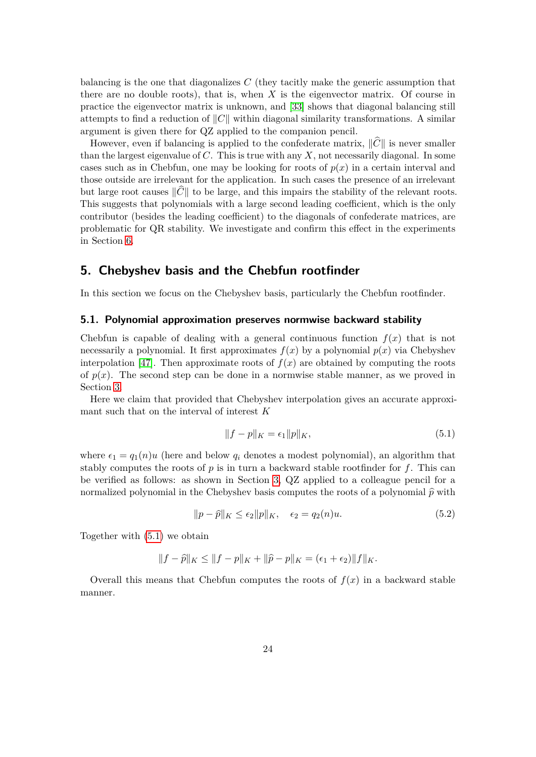balancing is the one that diagonalizes *C* (they tacitly make the generic assumption that there are no double roots), that is, when *X* is the eigenvector matrix. Of course in practice the eigenvector matrix is unknown, and [\[33\]](#page-38-4) shows that diagonal balancing still attempts to find a reduction of  $||C||$  within diagonal similarity transformations. A similar argument is given there for QZ applied to the companion pencil.

However, even if balancing is applied to the confederate matrix,  $\|\hat{C}\|$  is never smaller than the largest eigenvalue of *C*. This is true with any *X*, not necessarily diagonal. In some cases such as in Chebfun, one may be looking for roots of  $p(x)$  in a certain interval and those outside are irrelevant for the application. In such cases the presence of an irrelevant but large root causes  $\|\hat{C}\|$  to be large, and this impairs the stability of the relevant roots. This suggests that polynomials with a large second leading coefficient, which is the only contributor (besides the leading coefficient) to the diagonals of confederate matrices, are problematic for QR stability. We investigate and confirm this effect in the experiments in Section [6.](#page-26-0)

### <span id="page-23-0"></span>**5. Chebyshev basis and the Chebfun rootfinder**

In this section we focus on the Chebyshev basis, particularly the Chebfun rootfinder.

### **5.1. Polynomial approximation preserves normwise backward stability**

Chebfun is capable of dealing with a general continuous function  $f(x)$  that is not necessarily a polynomial. It first approximates  $f(x)$  by a polynomial  $p(x)$  via Chebyshev interpolation [\[47\]](#page-38-2). Then approximate roots of  $f(x)$  are obtained by computing the roots of  $p(x)$ . The second step can be done in a normwise stable manner, as we proved in Section [3.](#page-8-0)

Here we claim that provided that Chebyshev interpolation gives an accurate approximant such that on the interval of interest *K*

<span id="page-23-1"></span>
$$
||f - p||_K = \epsilon_1 ||p||_K,\t\t(5.1)
$$

where  $\epsilon_1 = q_1(n)u$  (here and below  $q_i$  denotes a modest polynomial), an algorithm that stably computes the roots of  $p$  is in turn a backward stable rootfinder for  $f$ . This can be verified as follows: as shown in Section [3,](#page-8-0) QZ applied to a colleague pencil for a normalized polynomial in the Chebyshev basis computes the roots of a polynomial  $\hat{p}$  with

<span id="page-23-2"></span>
$$
||p - \widehat{p}||_K \le \epsilon_2 ||p||_K, \quad \epsilon_2 = q_2(n)u. \tag{5.2}
$$

Together with [\(5.1\)](#page-23-1) we obtain

$$
||f - \hat{p}||_K \le ||f - p||_K + ||\hat{p} - p||_K = (\epsilon_1 + \epsilon_2) ||f||_K.
$$

Overall this means that Chebfun computes the roots of  $f(x)$  in a backward stable manner.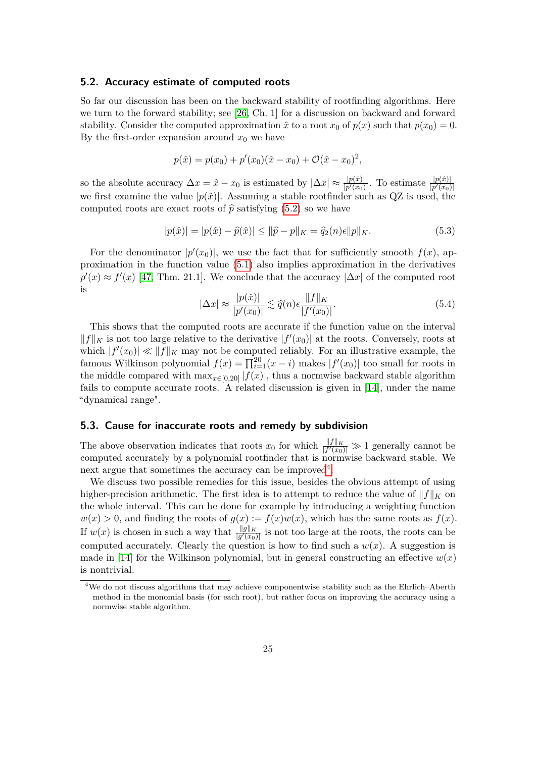#### **5.2. Accuracy estimate of computed roots**

So far our discussion has been on the backward stability of rootfinding algorithms. Here we turn to the forward stability; see [\[26,](#page-37-10) Ch. 1] for a discussion on backward and forward stability. Consider the computed approximation  $\hat{x}$  to a root  $x_0$  of  $p(x)$  such that  $p(x_0) = 0$ . By the first-order expansion around  $x_0$  we have

$$
p(\hat{x}) = p(x_0) + p'(x_0)(\hat{x} - x_0) + \mathcal{O}(\hat{x} - x_0)^2,
$$

so the absolute accuracy  $\Delta x = \hat{x} - x_0$  is estimated by  $|\Delta x| \approx \frac{|p(\hat{x})|}{|p'(x_0)|}$ . To estimate  $\frac{|p(\hat{x})|}{|p'(x_0)|}$ we first examine the value  $|p(\hat{x})|$ . Assuming a stable rootfinder such as QZ is used, the computed roots are exact roots of  $\hat{p}$  satisfying [\(5.2\)](#page-23-2) so we have

$$
|p(\hat{x})| = |p(\hat{x}) - \hat{p}(\hat{x})| \le ||\hat{p} - p||_K = \hat{q}_2(n)\epsilon ||p||_K.
$$
 (5.3)

For the denominator  $|p'(x_0)|$ , we use the fact that for sufficiently smooth  $f(x)$ , approximation in the function value [\(5.1\)](#page-23-1) also implies approximation in the derivatives  $p'(x) \approx f'(x)$  [\[47,](#page-38-2) Thm. 21.1]. We conclude that the accuracy  $|\Delta x|$  of the computed root is

<span id="page-24-1"></span>
$$
|\Delta x| \approx \frac{|p(\hat{x})|}{|p'(x_0)|} \lesssim \hat{q}(n)\epsilon \frac{\|f\|_K}{|f'(x_0)|}.\tag{5.4}
$$

This shows that the computed roots are accurate if the function value on the interval  $||f||_K$  is not too large relative to the derivative  $|f'(x_0)|$  at the roots. Conversely, roots at which  $|f'(x_0)| \ll ||f||_K$  may not be computed reliably. For an illustrative example, the famous Wilkinson polynomial  $f(x) = \prod_{i=1}^{20} (x - i)$  makes  $|f'(x_0)|$  too small for roots in the middle compared with  $\max_{x \in [0,20]} |f(x)|$ , thus a normwise backward stable algorithm fails to compute accurate roots. A related discussion is given in [\[14\]](#page-36-4), under the name "dynamical range".

### **5.3. Cause for inaccurate roots and remedy by subdivision**

The above observation indicates that roots  $x_0$  for which  $\frac{||f||_K}{|f'(x_0)|} \gg 1$  generally cannot be computed accurately by a polynomial rootfinder that is normwise backward stable. We next argue that sometimes the accuracy can be improved<sup>[4](#page-24-0)</sup>.

We discuss two possible remedies for this issue, besides the obvious attempt of using higher-precision arithmetic. The first idea is to attempt to reduce the value of  $||f||_K$  on the whole interval. This can be done for example by introducing a weighting function  $w(x) > 0$ , and finding the roots of  $g(x) := f(x)w(x)$ , which has the same roots as  $f(x)$ . If  $w(x)$  is chosen in such a way that  $\frac{\|g\|_K}{|g'(x_0)|}$  is not too large at the roots, the roots can be computed accurately. Clearly the question is how to find such a  $w(x)$ . A suggestion is made in [\[14\]](#page-36-4) for the Wilkinson polynomial, but in general constructing an effective  $w(x)$ is nontrivial.

<span id="page-24-0"></span><sup>4</sup>We do not discuss algorithms that may achieve componentwise stability such as the Ehrlich–Aberth method in the monomial basis (for each root), but rather focus on improving the accuracy using a normwise stable algorithm.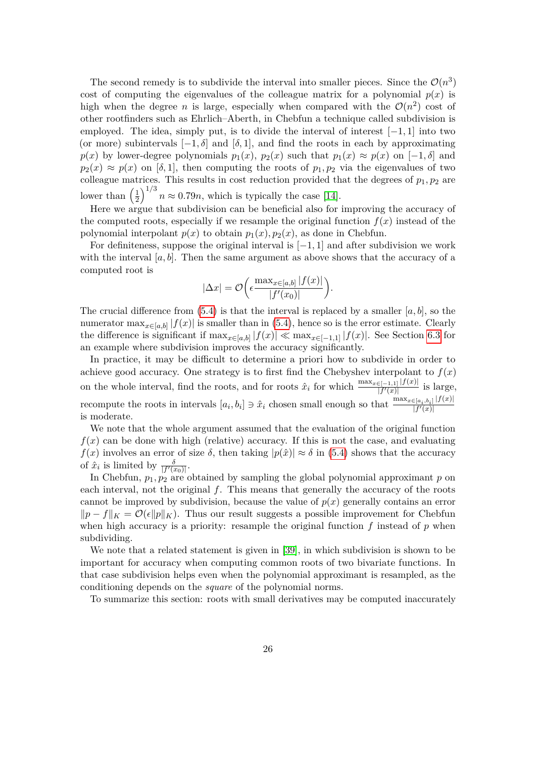The second remedy is to subdivide the interval into smaller pieces. Since the  $\mathcal{O}(n^3)$ cost of computing the eigenvalues of the colleague matrix for a polynomial  $p(x)$  is high when the degree *n* is large, especially when compared with the  $\mathcal{O}(n^2)$  cost of other rootfinders such as Ehrlich–Aberth, in Chebfun a technique called subdivision is employed. The idea, simply put, is to divide the interval of interest [−1*,* 1] into two (or more) subintervals  $[-1, \delta]$  and  $[\delta, 1]$ , and find the roots in each by approximating *p*(*x*) by lower-degree polynomials  $p_1(x)$ ,  $p_2(x)$  such that  $p_1(x) \approx p(x)$  on [−1*, δ*] and  $p_2(x) \approx p(x)$  on [*δ,* 1], then computing the roots of  $p_1, p_2$  via the eigenvalues of two colleague matrices. This results in cost reduction provided that the degrees of  $p_1, p_2$  are lower than  $\left(\frac{1}{2}\right)$  $\frac{1}{2}$  $\int_0^{1/3} n \approx 0.79n$ , which is typically the case [\[14\]](#page-36-4).

Here we argue that subdivision can be beneficial also for improving the accuracy of the computed roots, especially if we resample the original function  $f(x)$  instead of the polynomial interpolant  $p(x)$  to obtain  $p_1(x), p_2(x)$ , as done in Chebfun.

For definiteness, suppose the original interval is [−1*,* 1] and after subdivision we work with the interval  $[a, b]$ . Then the same argument as above shows that the accuracy of a computed root is

$$
|\Delta x| = \mathcal{O}\left(\epsilon \frac{\max_{x \in [a,b]} |f(x)|}{|f'(x_0)|}\right).
$$

The crucial difference from  $(5.4)$  is that the interval is replaced by a smaller  $[a, b]$ , so the numerator  $\max_{x \in [a,b]} |f(x)|$  is smaller than in [\(5.4\)](#page-24-1), hence so is the error estimate. Clearly the difference is significant if  $\max_{x \in [a,b]} |f(x)| \ll \max_{x \in [-1,1]} |f(x)|$ . See Section [6.3](#page-31-0) for an example where subdivision improves the accuracy significantly.

In practice, it may be difficult to determine a priori how to subdivide in order to achieve good accuracy. One strategy is to first find the Chebyshev interpolant to  $f(x)$ on the whole interval, find the roots, and for roots  $\hat{x}_i$  for which  $\frac{\max_{x \in [-1,1]} |f(x)|}{|f'(x)|}$  is large, recompute the roots in intervals  $[a_i, b_i] \ni \hat{x}_i$  chosen small enough so that  $\frac{\max_{x \in [a_i, b_i]} |f(x)|}{|f'(x)|}$  $|f'(x)|$ is moderate.

We note that the whole argument assumed that the evaluation of the original function  $f(x)$  can be done with high (relative) accuracy. If this is not the case, and evaluating  $f(x)$  involves an error of size  $\delta$ , then taking  $|p(\hat{x})| \approx \delta$  in [\(5.4\)](#page-24-1) shows that the accuracy of  $\hat{x}_i$  is limited by  $\frac{\delta}{|f'(x_0)|}$ .

In Chebfun,  $p_1, p_2$  are obtained by sampling the global polynomial approximant  $p$  on each interval, not the original *f*. This means that generally the accuracy of the roots cannot be improved by subdivision, because the value of  $p(x)$  generally contains an error  $\|p - f\|_K = \mathcal{O}(\epsilon \|p\|_K)$ . Thus our result suggests a possible improvement for Chebfun when high accuracy is a priority: resample the original function *f* instead of *p* when subdividing.

We note that a related statement is given in [\[39\]](#page-38-15), in which subdivision is shown to be important for accuracy when computing common roots of two bivariate functions. In that case subdivision helps even when the polynomial approximant is resampled, as the conditioning depends on the *square* of the polynomial norms.

To summarize this section: roots with small derivatives may be computed inaccurately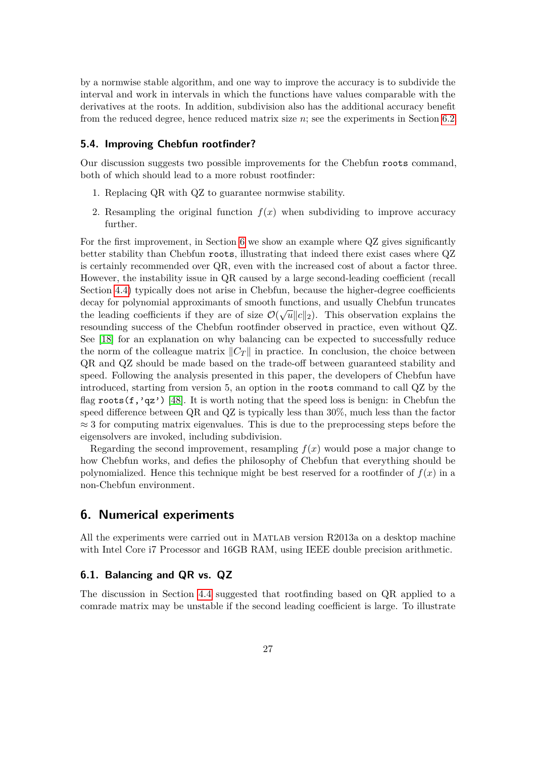by a normwise stable algorithm, and one way to improve the accuracy is to subdivide the interval and work in intervals in which the functions have values comparable with the derivatives at the roots. In addition, subdivision also has the additional accuracy benefit from the reduced degree, hence reduced matrix size *n*; see the experiments in Section [6.2.](#page-31-1)

### **5.4. Improving Chebfun rootfinder?**

Our discussion suggests two possible improvements for the Chebfun roots command, both of which should lead to a more robust rootfinder:

- 1. Replacing QR with QZ to guarantee normwise stability.
- 2. Resampling the original function  $f(x)$  when subdividing to improve accuracy further.

For the first improvement, in Section [6](#page-26-0) we show an example where QZ gives significantly better stability than Chebfun roots, illustrating that indeed there exist cases where QZ is certainly recommended over QR, even with the increased cost of about a factor three. However, the instability issue in QR caused by a large second-leading coefficient (recall Section [4.4\)](#page-22-0) typically does not arise in Chebfun, because the higher-degree coefficients decay for polynomial approximants of smooth functions, and usually Chebfun truncates the leading coefficients if they are of size  $\mathcal{O}(\sqrt{u}||c||_2)$ . This observation explains the resounding success of the Chebfun rootfinder observed in practice, even without QZ. See [\[18\]](#page-37-15) for an explanation on why balancing can be expected to successfully reduce the norm of the colleague matrix  $||C_T||$  in practice. In conclusion, the choice between QR and QZ should be made based on the trade-off between guaranteed stability and speed. Following the analysis presented in this paper, the developers of Chebfun have introduced, starting from version 5, an option in the roots command to call QZ by the flag roots(f,'qz') [\[48\]](#page-38-1). It is worth noting that the speed loss is benign: in Chebfun the speed difference between QR and QZ is typically less than 30%, much less than the factor  $\approx$  3 for computing matrix eigenvalues. This is due to the preprocessing steps before the eigensolvers are invoked, including subdivision.

Regarding the second improvement, resampling  $f(x)$  would pose a major change to how Chebfun works, and defies the philosophy of Chebfun that everything should be polynomialized. Hence this technique might be best reserved for a rootfinder of  $f(x)$  in a non-Chebfun environment.

### <span id="page-26-0"></span>**6. Numerical experiments**

All the experiments were carried out in Matlab version R2013a on a desktop machine with Intel Core i7 Processor and 16GB RAM, using IEEE double precision arithmetic.

### **6.1. Balancing and QR vs. QZ**

The discussion in Section [4.4](#page-22-0) suggested that rootfinding based on QR applied to a comrade matrix may be unstable if the second leading coefficient is large. To illustrate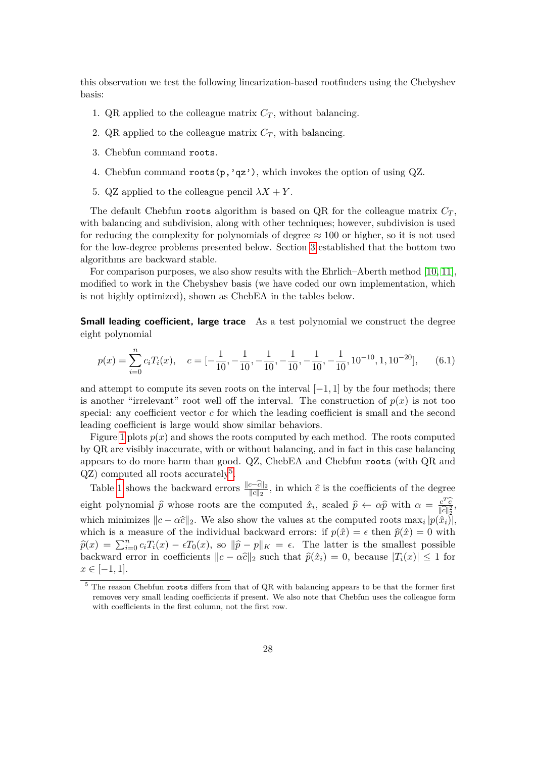this observation we test the following linearization-based rootfinders using the Chebyshev basis:

- 1. QR applied to the colleague matrix  $C_T$ , without balancing.
- 2. QR applied to the colleague matrix  $C_T$ , with balancing.
- 3. Chebfun command roots.
- 4. Chebfun command roots(p,'qz'), which invokes the option of using QZ.
- 5. QZ applied to the colleague pencil  $\lambda X + Y$ .

The default Chebfun roots algorithm is based on QR for the colleague matrix  $C_T$ , with balancing and subdivision, along with other techniques; however, subdivision is used for reducing the complexity for polynomials of degree  $\approx 100$  or higher, so it is not used for the low-degree problems presented below. Section [3](#page-8-0) established that the bottom two algorithms are backward stable.

For comparison purposes, we also show results with the Ehrlich–Aberth method [\[10,](#page-36-3) [11\]](#page-36-1), modified to work in the Chebyshev basis (we have coded our own implementation, which is not highly optimized), shown as ChebEA in the tables below.

**Small leading coefficient, large trace** As a test polynomial we construct the degree eight polynomial

<span id="page-27-1"></span>
$$
p(x) = \sum_{i=0}^{n} c_i T_i(x), \quad c = [-\frac{1}{10}, -\frac{1}{10}, -\frac{1}{10}, -\frac{1}{10}, -\frac{1}{10}, -\frac{1}{10}, 10^{-10}, 1, 10^{-20}], \quad (6.1)
$$

and attempt to compute its seven roots on the interval  $[-1, 1]$  by the four methods; there is another "irrelevant" root well off the interval. The construction of  $p(x)$  is not too special: any coefficient vector *c* for which the leading coefficient is small and the second leading coefficient is large would show similar behaviors.

Figure [1](#page-28-0) plots  $p(x)$  and shows the roots computed by each method. The roots computed by QR are visibly inaccurate, with or without balancing, and in fact in this case balancing appears to do more harm than good. QZ, ChebEA and Chebfun roots (with QR and  $QZ$ ) computed all roots accurately<sup>[5](#page-27-0)</sup>.

Table [1](#page-28-1) shows the backward errors  $\frac{\Vert c-\overline{c}\Vert_2}{\Vert c\Vert_2}$ , in which  $\hat{c}$  is the coefficients of the degree eight polynomial  $\hat{p}$  whose roots are the computed  $\hat{x}_i$ , scaled  $\hat{p} \leftarrow \alpha \hat{p}$  with  $\alpha = \frac{c^T \hat{c}}{||\hat{c}||_2^2}$ ,  $\frac{\|c\|}{\hat{r}}$ which minimizes  $||c - \alpha \hat{c}||_2$ . We also show the values at the computed roots  $\max_i |p(\hat{x}_i)|$ , which is a measure of the individual backward errors: if  $p(\hat{x}) = \epsilon$  then  $\hat{p}(\hat{x}) = 0$  with  $\hat{p}(x) = \sum_{i=0}^{n} c_i T_i(x) - \epsilon T_0(x)$ , so  $\|\hat{p} - p\|_K = \epsilon$ . The latter is the smallest possible backward error in coefficients  $\|c - \alpha \hat{c}\|_2$  such that  $\hat{p}(\hat{x}_i) = 0$ , because  $|T_i(x)| \leq 1$  for  $x \in [-1, 1].$ 

<span id="page-27-0"></span><sup>&</sup>lt;sup>5</sup> The reason Chebfun roots differs from that of QR with balancing appears to be that the former first removes very small leading coefficients if present. We also note that Chebfun uses the colleague form with coefficients in the first column, not the first row.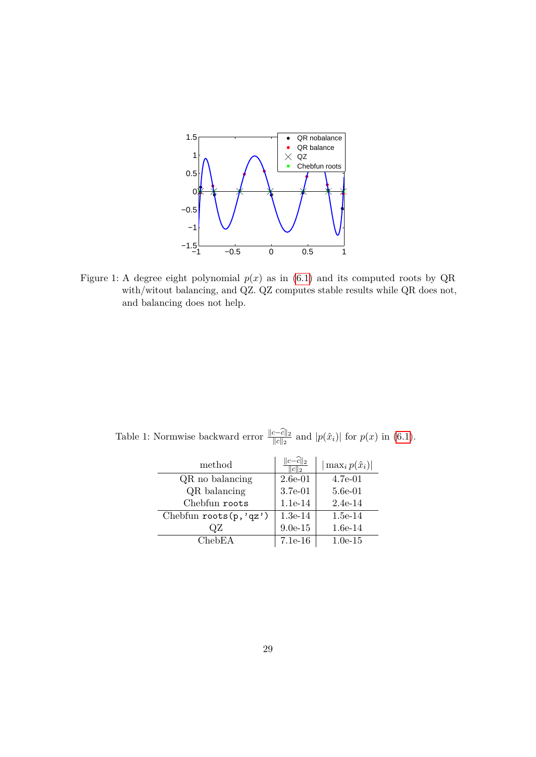

<span id="page-28-0"></span>Figure 1: A degree eight polynomial  $p(x)$  as in [\(6.1\)](#page-27-1) and its computed roots by QR with/witout balancing, and QZ. QZ computes stable results while QR does not, and balancing does not help.

Table 1: Normwise backward error  $\frac{\|c-\hat{c}\|_2}{\|c\|_2}$  and  $|p(\hat{x}_i)|$  for  $p(x)$  in [\(6.1\)](#page-27-1).

<span id="page-28-1"></span>

| method                    | $ c-\widehat{c}  _2$ | $\max_i p(\hat{x}_i)$ |
|---------------------------|----------------------|-----------------------|
| QR no balancing           | $2.6e-01$            | $4.7e-01$             |
| QR balancing              | 3.7e-01              | $5.6e-01$             |
| Chebfun roots             | $1.1e-14$            | $2.4e-14$             |
| Chebfun roots $(p, 'qz')$ | $1.3e-14$            | $1.5e-14$             |
| ΩZ                        | $9.0e-15$            | $1.6e-14$             |
| ChebEA                    | $7.1e-16$            | $1.0e-15$             |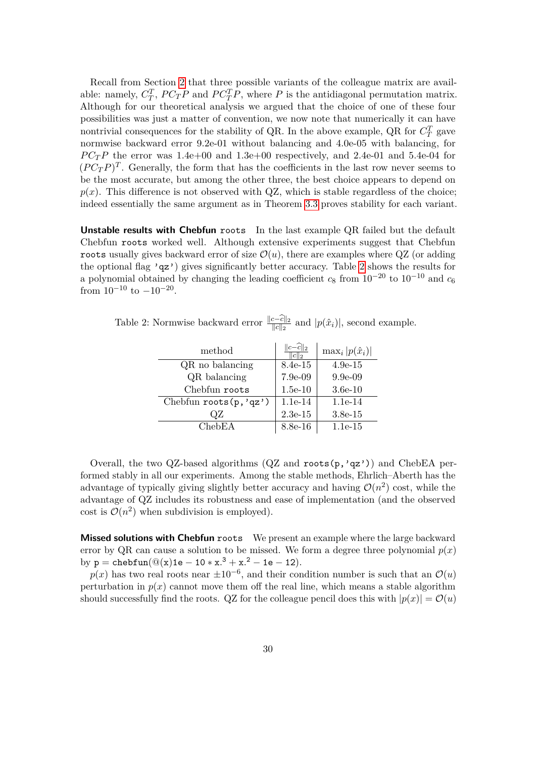Recall from Section [2](#page-4-0) that three possible variants of the colleague matrix are available: namely,  $C_T^T$ ,  $PC_T P$  and  $PC_T^T P$ , where P is the antidiagonal permutation matrix. Although for our theoretical analysis we argued that the choice of one of these four possibilities was just a matter of convention, we now note that numerically it can have nontrivial consequences for the stability of QR. In the above example, QR for  $C_T^T$  gave normwise backward error 9.2e-01 without balancing and 4.0e-05 with balancing, for  $PC_T P$  the error was 1.4e+00 and 1.3e+00 respectively, and 2.4e-01 and 5.4e-04 for  $(P C_T P)^T$ . Generally, the form that has the coefficients in the last row never seems to be the most accurate, but among the other three, the best choice appears to depend on  $p(x)$ . This difference is not observed with QZ, which is stable regardless of the choice; indeed essentially the same argument as in Theorem [3.3](#page-11-4) proves stability for each variant.

**Unstable results with Chebfun** roots In the last example QR failed but the default Chebfun roots worked well. Although extensive experiments suggest that Chebfun roots usually gives backward error of size  $\mathcal{O}(u)$ , there are examples where QZ (or adding the optional flag 'qz') gives significantly better accuracy. Table [2](#page-29-0) shows the results for a polynomial obtained by changing the leading coefficient  $c_8$  from  $10^{-20}$  to  $10^{-10}$  and  $c_6$ from  $10^{-10}$  to  $-10^{-20}$ .

Table 2: Normwise backward error  $\frac{\|c-\hat{c}\|_2}{\|c\|_2}$  and  $|p(\hat{x}_i)|$ , second example.

<span id="page-29-0"></span>

| method                    | :12       | $\max_i  p(\hat{x}_i) $ |
|---------------------------|-----------|-------------------------|
| QR no balancing           | 8.4e-15   | $4.9e-15$               |
| QR balancing              | 7.9e-09   | $9.9e-0.9$              |
| Chebfun roots             | $1.5e-10$ | $3.6e-10$               |
| Chebfun roots $(p, 'qz')$ | $1.1e-14$ | $1.1e-14$               |
| ΩZ                        | $2.3e-15$ | $3.8e-15$               |
| ChebEA                    | 8.8e-16   | $1.1e-15$               |

Overall, the two QZ-based algorithms  $(QZ \text{ and } \text{roots}(p, 'qz'))$  and ChebEA performed stably in all our experiments. Among the stable methods, Ehrlich–Aberth has the advantage of typically giving slightly better accuracy and having  $\mathcal{O}(n^2)$  cost, while the advantage of QZ includes its robustness and ease of implementation (and the observed cost is  $\mathcal{O}(n^2)$  when subdivision is employed).

**Missed solutions with Chebfun** roots We present an example where the large backward error by QR can cause a solution to be missed. We form a degree three polynomial  $p(x)$ by  $p = \text{chebfun}(@(x)1e - 10 * x.^3 + x.^2 - 1e - 12).$ 

 $p(x)$  has two real roots near  $\pm 10^{-6}$ , and their condition number is such that an  $\mathcal{O}(u)$ perturbation in  $p(x)$  cannot move them off the real line, which means a stable algorithm should successfully find the roots. QZ for the colleague pencil does this with  $|p(x)| = \mathcal{O}(u)$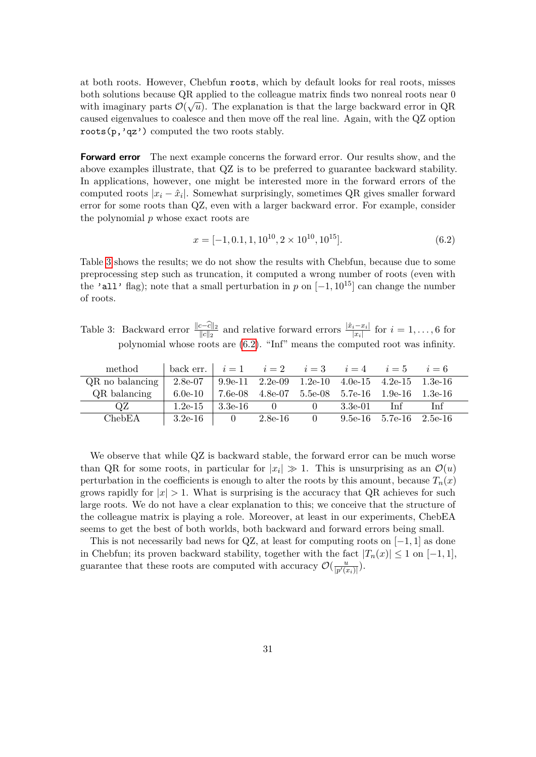at both roots. However, Chebfun roots, which by default looks for real roots, misses both solutions because QR applied to the colleague matrix finds two nonreal roots near 0 with imaginary parts  $\mathcal{O}(\sqrt{u})$ . The explanation is that the large backward error in QR caused eigenvalues to coalesce and then move off the real line. Again, with the QZ option roots(p,'qz') computed the two roots stably.

**Forward error** The next example concerns the forward error. Our results show, and the above examples illustrate, that QZ is to be preferred to guarantee backward stability. In applications, however, one might be interested more in the forward errors of the computed roots  $|x_i - \hat{x}_i|$ . Somewhat surprisingly, sometimes QR gives smaller forward error for some roots than QZ, even with a larger backward error. For example, consider the polynomial *p* whose exact roots are

<span id="page-30-1"></span>
$$
x = [-1, 0.1, 1, 10^{10}, 2 \times 10^{10}, 10^{15}].
$$
\n(6.2)

Table [3](#page-30-0) shows the results; we do not show the results with Chebfun, because due to some preprocessing step such as truncation, it computed a wrong number of roots (even with the 'all' flag); note that a small perturbation in *p* on  $[-1, 10^{15}]$  can change the number of roots.

<span id="page-30-0"></span>Table 3: Backward error  $\frac{\|c-c\|_2}{\|c\|_2}$  and relative forward errors  $\frac{\|\hat{x}_i-x_i\|}{\|x_i\|}$  for  $i=1,\ldots,6$  for polynomial whose roots are [\(6.2\)](#page-30-1). "Inf" means the computed root was infinity.

| method            | back err. 1 | $i=1$      |                         | $i=2$ $i=3$ $i=4$ |           | $i=5$                                   | $i=6$ |  |
|-------------------|-------------|------------|-------------------------|-------------------|-----------|-----------------------------------------|-------|--|
| $QR$ no balancing | $2.8e-07$   |            | 9.9e-11 2.2e-09 1.2e-10 |                   |           | 4.0e-15 4.2e-15 1.3e-16                 |       |  |
| QR balancing      | $6.0e-10$   | 7.6e-08    |                         |                   |           | 4.8e-07 5.5e-08 5.7e-16 1.9e-16 1.3e-16 |       |  |
| ΩZ                | $1.2e-15$   | $-3.3e-16$ | $\cup$                  | $\mathbf{r}$      | $3.3e-01$ | Inf                                     | Inf   |  |
| ChebEA            | $3.2e-16$   |            | $2.8e-16$               |                   |           | $9.5e-16$ $5.7e-16$ $2.5e-16$           |       |  |

We observe that while QZ is backward stable, the forward error can be much worse than QR for some roots, in particular for  $|x_i| \gg 1$ . This is unsurprising as an  $\mathcal{O}(u)$ perturbation in the coefficients is enough to alter the roots by this amount, because  $T_n(x)$ grows rapidly for  $|x| > 1$ . What is surprising is the accuracy that QR achieves for such large roots. We do not have a clear explanation to this; we conceive that the structure of the colleague matrix is playing a role. Moreover, at least in our experiments, ChebEA seems to get the best of both worlds, both backward and forward errors being small.

This is not necessarily bad news for QZ, at least for computing roots on  $[-1, 1]$  as done in Chebfun; its proven backward stability, together with the fact  $|T_n(x)| \leq 1$  on  $[-1, 1]$ , guarantee that these roots are computed with accuracy  $\mathcal{O}(\frac{u}{\ln^2}$  $\frac{u}{|p'(x_i)|}$ ).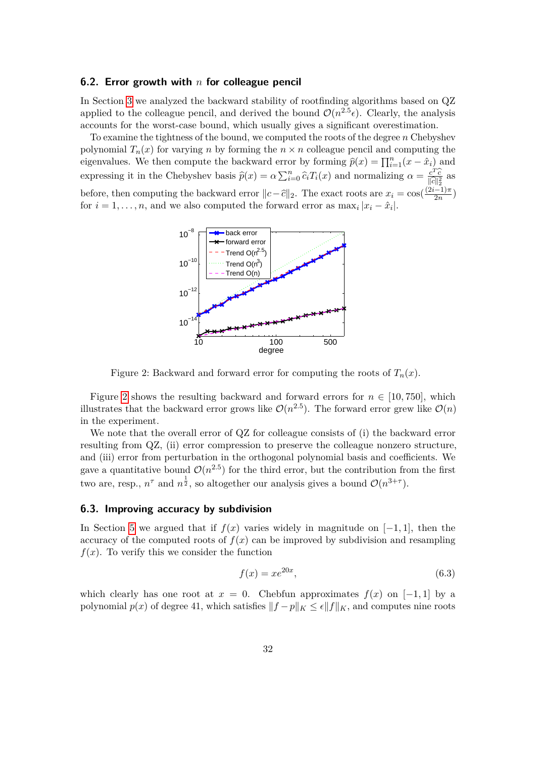#### <span id="page-31-1"></span>**6.2. Error growth with** *n* **for colleague pencil**

In Section [3](#page-8-0) we analyzed the backward stability of rootfinding algorithms based on QZ applied to the colleague pencil, and derived the bound  $\mathcal{O}(n^{2.5} \epsilon)$ . Clearly, the analysis accounts for the worst-case bound, which usually gives a significant overestimation.

To examine the tightness of the bound, we computed the roots of the degree *n* Chebyshev polynomial  $T_n(x)$  for varying *n* by forming the  $n \times n$  colleague pencil and computing the eigenvalues. We then compute the backward error by forming  $\hat{p}(x) = \prod_{i=1}^{n} (x - \hat{x}_i)$  and expressing it in the Chebyshev basis  $\hat{p}(x) = \alpha \sum_{i=0}^{n} \hat{c}_i T_i(x)$  and normalizing  $\alpha = \frac{c^T \hat{c}}{||c||_2^2}$  $\frac{c^2 c}{\|\hat{c}\|_2^2}$  as<br>  $\frac{2i-1}{\pi}$ before, then computing the backward error  $||c-\hat{c}||_2$ . The exact roots are  $x_i = \cos(\frac{(2i-1)\pi}{2n})$  $\frac{(-1)\pi}{2n}$ for  $i = 1, \ldots, n$ , and we also computed the forward error as  $\max_i |x_i - \hat{x}_i|$ .



<span id="page-31-2"></span>Figure 2: Backward and forward error for computing the roots of  $T_n(x)$ .

Figure [2](#page-31-2) shows the resulting backward and forward errors for  $n \in [10, 750]$ , which illustrates that the backward error grows like  $\mathcal{O}(n^{2.5})$ . The forward error grew like  $\mathcal{O}(n)$ in the experiment.

We note that the overall error of  $QZ$  for colleague consists of (i) the backward error resulting from QZ, (ii) error compression to preserve the colleague nonzero structure, and (iii) error from perturbation in the orthogonal polynomial basis and coefficients. We gave a quantitative bound  $\mathcal{O}(n^{2.5})$  for the third error, but the contribution from the first two are, resp.,  $n^{\tau}$  and  $n^{\frac{1}{2}}$ , so altogether our analysis gives a bound  $\mathcal{O}(n^{3+\tau})$ .

### <span id="page-31-0"></span>**6.3. Improving accuracy by subdivision**

In Section [5](#page-23-0) we argued that if  $f(x)$  varies widely in magnitude on  $[-1, 1]$ , then the accuracy of the computed roots of  $f(x)$  can be improved by subdivision and resampling  $f(x)$ . To verify this we consider the function

$$
f(x) = xe^{20x},\tag{6.3}
$$

which clearly has one root at  $x = 0$ . Chebfun approximates  $f(x)$  on [-1,1] by a polynomial  $p(x)$  of degree 41, which satisfies  $||f - p||_K \leq \epsilon ||f||_K$ , and computes nine roots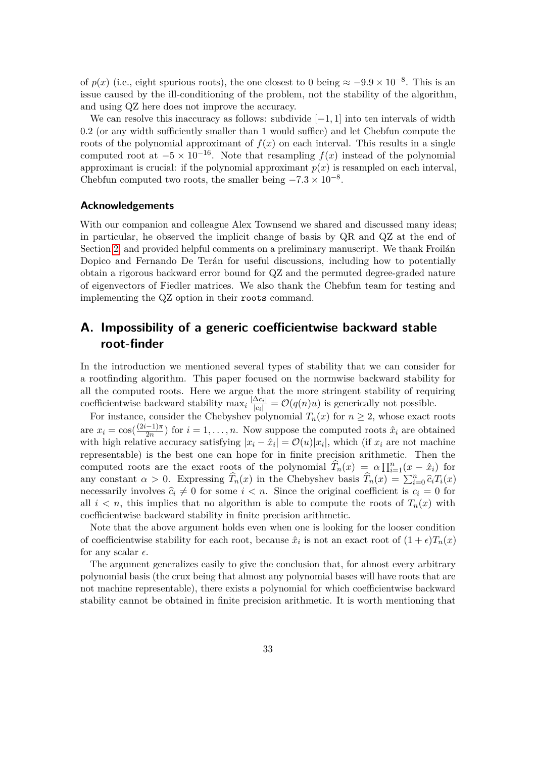of  $p(x)$  (i.e., eight spurious roots), the one closest to 0 being  $\approx -9.9 \times 10^{-8}$ . This is an issue caused by the ill-conditioning of the problem, not the stability of the algorithm, and using QZ here does not improve the accuracy.

We can resolve this inaccuracy as follows: subdivide  $[-1, 1]$  into ten intervals of width 0*.*2 (or any width sufficiently smaller than 1 would suffice) and let Chebfun compute the roots of the polynomial approximant of  $f(x)$  on each interval. This results in a single computed root at  $-5 \times 10^{-16}$ . Note that resampling  $f(x)$  instead of the polynomial approximant is crucial: if the polynomial approximant  $p(x)$  is resampled on each interval, Chebfun computed two roots, the smaller being  $-7.3 \times 10^{-8}$ .

#### **Acknowledgements**

With our companion and colleague Alex Townsend we shared and discussed many ideas; in particular, he observed the implicit change of basis by QR and QZ at the end of Section [2,](#page-4-0) and provided helpful comments on a preliminary manuscript. We thank Froilán Dopico and Fernando De Terán for useful discussions, including how to potentially obtain a rigorous backward error bound for QZ and the permuted degree-graded nature of eigenvectors of Fiedler matrices. We also thank the Chebfun team for testing and implementing the QZ option in their roots command.

## **A. Impossibility of a generic coefficientwise backward stable root-finder**

In the introduction we mentioned several types of stability that we can consider for a rootfinding algorithm. This paper focused on the normwise backward stability for all the computed roots. Here we argue that the more stringent stability of requiring coefficientwise backward stability  $\max_i \frac{|\Delta c_i|}{|c_i|} = O(q(n)u)$  is generically not possible.

For instance, consider the Chebyshev polynomial  $T_n(x)$  for  $n \geq 2$ , whose exact roots are  $x_i = \cos(\frac{(2i-1)\pi}{2n})$  $\frac{(-1)\pi}{2n}$  for  $i = 1, \ldots, n$ . Now suppose the computed roots  $\hat{x}_i$  are obtained with high relative accuracy satisfying  $|x_i - \hat{x}_i| = \mathcal{O}(u)|x_i|$ , which (if  $x_i$  are not machine representable) is the best one can hope for in finite precision arithmetic. Then the computed roots are the exact roots of the polynomial  $\hat{T}_n(x) = \alpha \prod_{i=1}^n (x - \hat{x}_i)$  for any constant  $\alpha > 0$ . Expressing  $\hat{T}_n(x)$  in the Chebyshev basis  $\hat{T}_n(x) = \sum_{i=0}^n \hat{c}_i T_i(x)$ necessarily involves  $\hat{c}_i \neq 0$  for some  $i < n$ . Since the original coefficient is  $c_i = 0$  for all  $i < n$ , this implies that no algorithm is able to compute the roots of  $T_n(x)$  with coefficientwise backward stability in finite precision arithmetic.

Note that the above argument holds even when one is looking for the looser condition of coefficientwise stability for each root, because  $\hat{x}_i$  is not an exact root of  $(1+\epsilon)T_n(x)$ for any scalar  $\epsilon$ .

The argument generalizes easily to give the conclusion that, for almost every arbitrary polynomial basis (the crux being that almost any polynomial bases will have roots that are not machine representable), there exists a polynomial for which coefficientwise backward stability cannot be obtained in finite precision arithmetic. It is worth mentioning that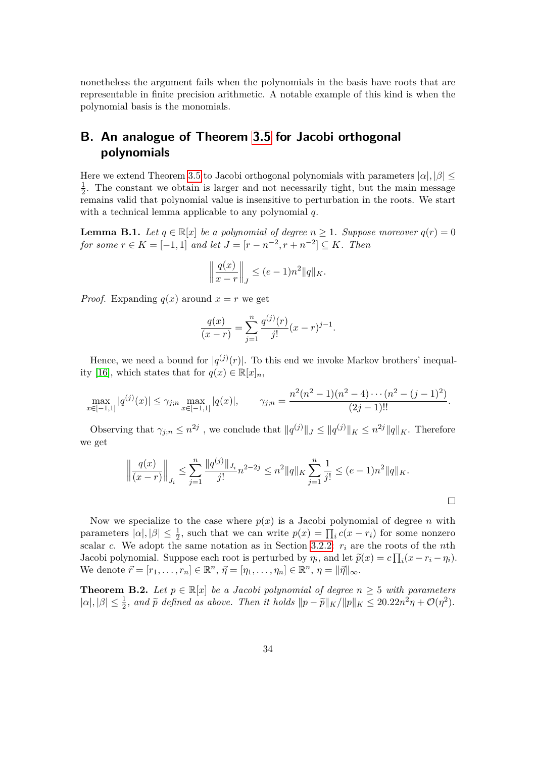nonetheless the argument fails when the polynomials in the basis have roots that are representable in finite precision arithmetic. A notable example of this kind is when the polynomial basis is the monomials.

# **B. An analogue of Theorem [3.5](#page-14-0) for Jacobi orthogonal polynomials**

Here we extend Theorem [3.5](#page-14-0) to Jacobi orthogonal polynomials with parameters  $|\alpha|, |\beta| \leq$ 1  $\frac{1}{2}$ . The constant we obtain is larger and not necessarily tight, but the main message remains valid that polynomial value is insensitive to perturbation in the roots. We start with a technical lemma applicable to any polynomial *q*.

<span id="page-33-2"></span>**Lemma B.1.** *Let*  $q \in \mathbb{R}[x]$  *be a polynomial of degree*  $n \geq 1$ *. Suppose moreover*  $q(r) = 0$ *for some*  $r \in K = [-1, 1]$  *and let*  $J = [r - n^{-2}, r + n^{-2}] \subseteq K$ *. Then* 

$$
\left\|\frac{q(x)}{x-r}\right\|_J \le (e-1)n^2 \|q\|_K.
$$

*Proof.* Expanding  $q(x)$  around  $x = r$  we get

$$
\frac{q(x)}{(x-r)} = \sum_{j=1}^{n} \frac{q^{(j)}(r)}{j!} (x-r)^{j-1}.
$$

Hence, we need a bound for  $|q^{(j)}(r)|$ . To this end we invoke Markov brothers' inequal-ity [\[16\]](#page-36-15), which states that for  $q(x) \in \mathbb{R}[x]_n$ ,

<span id="page-33-1"></span>
$$
\max_{x \in [-1,1]} |q^{(j)}(x)| \leq \gamma_{j;n} \max_{x \in [-1,1]} |q(x)|, \qquad \gamma_{j;n} = \frac{n^2(n^2-1)(n^2-4)\cdots(n^2-(j-1)^2)}{(2j-1)!!}.
$$

Observing that  $\gamma_{j,n} \leq n^{2j}$ , we conclude that  $||q^{(j)}||_J \leq ||q^{(j)}||_K \leq n^{2j} ||q||_K$ . Therefore we get

$$
\left\|\frac{q(x)}{(x-r)}\right\|_{J_i} \le \sum_{j=1}^n \frac{\|q^{(j)}\|_{J_i}}{j!} n^{2-2j} \le n^2 \|q\|_K \sum_{j=1}^n \frac{1}{j!} \le (e-1)n^2 \|q\|_K.
$$

Now we specialize to the case where  $p(x)$  is a Jacobi polynomial of degree *n* with parameters  $|\alpha|, |\beta| \leq \frac{1}{2}$ , such that we can write  $p(x) = \prod_i c(x - r_i)$  for some nonzero scalar *c*. We adopt the same notation as in Section [3.2.2:](#page-13-1) *r<sup>i</sup>* are the roots of the *n*th Jacobi polynomial. Suppose each root is perturbed by  $\eta_i$ , and let  $\tilde{p}(x) = c \prod_i (x - r_i - \eta_i)$ . We denote  $\vec{r} = [r_1, \ldots, r_n] \in \mathbb{R}^n$ ,  $\vec{\eta} = [\eta_1, \ldots, \eta_n] \in \mathbb{R}^n$ ,  $\eta = ||\vec{\eta}||_{\infty}$ .

<span id="page-33-0"></span>**Theorem B.2.** Let  $p \in \mathbb{R}[x]$  be a Jacobi polynomial of degree  $n \geq 5$  with parameters  $|\alpha|, |\beta| \leq \frac{1}{2}$ , and  $\tilde{p}$  defined as above. Then it holds  $||p - \tilde{p}||_K / ||p||_K \leq 20.22n^2\eta + \mathcal{O}(\eta^2)$ .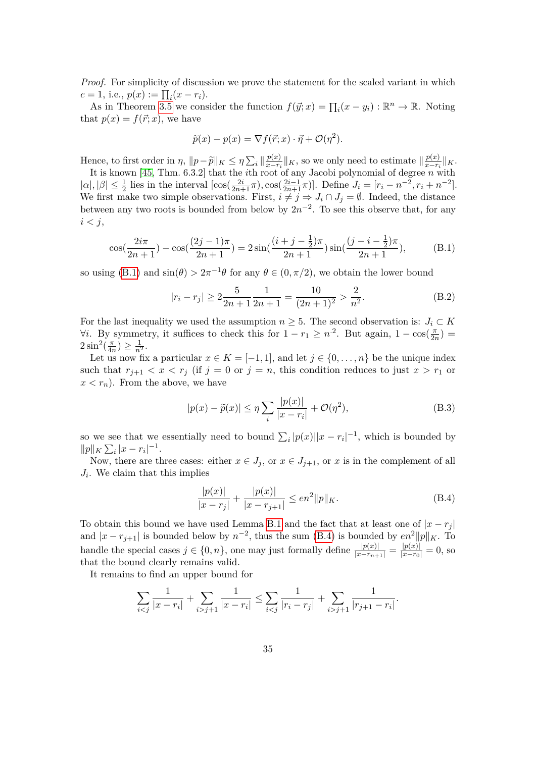*Proof.* For simplicity of discussion we prove the statement for the scaled variant in which  $c = 1$ , i.e.,  $p(x) := \prod_i (x - r_i)$ .

As in Theorem [3.5](#page-14-0) we consider the function  $f(\vec{y}; x) = \prod_i (x - y_i) : \mathbb{R}^n \to \mathbb{R}$ . Noting that  $p(x) = f(\vec{r}; x)$ , we have

$$
\widetilde{p}(x) - p(x) = \nabla f(\vec{r}; x) \cdot \vec{\eta} + \mathcal{O}(\eta^2).
$$

Hence, to first order in  $\eta$ ,  $\|p-\tilde{p}\|_K \leq \eta \sum_i \left\|\frac{p(x)}{x-r_i}\right\|_K^2$  $\frac{p(x)}{x-r_i}$  ||*K*, so we only need to estimate  $\frac{p(x)}{x-r_i}$  $\frac{p(x)}{x-r_i}$ ||*K*.

It is known [\[45,](#page-38-8) Thm. 6.3.2] that the *i*th root of any Jacobi polynomial of degree *n* with  $|\alpha|, |\beta| \leq \frac{1}{2}$  lies in the interval  $[\cos(\frac{2i}{2n+1}\pi), \cos(\frac{2i-1}{2n+1}\pi)]$ . Define  $J_i = [r_i - n^{-2}, r_i + n^{-2}]$ . We first make two simple observations. First,  $i \neq j \Rightarrow J_i \cap J_j = \emptyset$ . Indeed, the distance between any two roots is bounded from below by  $2n^{-2}$ . To see this observe that, for any *i < j*,

$$
\cos(\frac{2i\pi}{2n+1}) - \cos(\frac{(2j-1)\pi}{2n+1}) = 2\sin(\frac{(i+j-\frac{1}{2})\pi}{2n+1})\sin(\frac{(j-i-\frac{1}{2})\pi}{2n+1}),
$$
(B.1)

so using [\(B.1\)](#page-33-1) and  $\sin(\theta) > 2\pi^{-1}\theta$  for any  $\theta \in (0, \pi/2)$ , we obtain the lower bound

<span id="page-34-0"></span>
$$
|r_i - r_j| \ge 2\frac{5}{2n+1}\frac{1}{2n+1} = \frac{10}{(2n+1)^2} > \frac{2}{n^2}.
$$
 (B.2)

For the last inequality we used the assumption  $n \geq 5$ . The second observation is:  $J_i \subset K$  $\forall i$ . By symmetry, it suffices to check this for  $1 - r_1 \geq n^2$ . But again,  $1 - \cos(\frac{\pi}{2})$  $\frac{\pi}{2n}) =$  $2\sin^2(\frac{\pi}{4r})$  $\frac{\pi}{4n}) \geq \frac{1}{n^2}.$ 

Let us now fix a particular  $x \in K = [-1, 1]$ , and let  $j \in \{0, \ldots, n\}$  be the unique index such that  $r_{j+1} < x < r_j$  (if  $j = 0$  or  $j = n$ , this condition reduces to just  $x > r_1$  or  $x < r_n$ ). From the above, we have

<span id="page-34-2"></span>
$$
|p(x) - \tilde{p}(x)| \le \eta \sum_{i} \frac{|p(x)|}{|x - r_i|} + \mathcal{O}(\eta^2),
$$
 (B.3)

so we see that we essentially need to bound  $\sum_i |p(x)||x - r_i|^{-1}$ , which is bounded by  $||p||_K \sum_i |x - r_i|^{-1}.$ 

Now, there are three cases: either  $x \in J_j$ , or  $x \in J_{j+1}$ , or  $x$  is in the complement of all  $J_i$ . We claim that this implies

<span id="page-34-1"></span>
$$
\frac{|p(x)|}{|x - r_j|} + \frac{|p(x)|}{|x - r_{j+1}|} \le en^2 ||p||_K.
$$
\n(B.4)

To obtain this bound we have used Lemma [B.1](#page-33-2) and the fact that at least one of  $|x - r_i|$ and  $|x - r_{j+1}|$  is bounded below by  $n^{-2}$ , thus the sum [\(B.4\)](#page-34-1) is bounded by  $en^2 ||p||_K$ . To handle the special cases  $j \in \{0, n\}$ , one may just formally define  $\frac{|p(x)|}{|x-r_{n+1}|} = \frac{|p(x)|}{|x-r_0|} = 0$ , so that the bound clearly remains valid.

It remains to find an upper bound for

$$
\sum_{i < j} \frac{1}{|x - r_i|} + \sum_{i > j + 1} \frac{1}{|x - r_i|} \le \sum_{i < j} \frac{1}{|r_i - r_j|} + \sum_{i > j + 1} \frac{1}{|r_{j+1} - r_i|}.
$$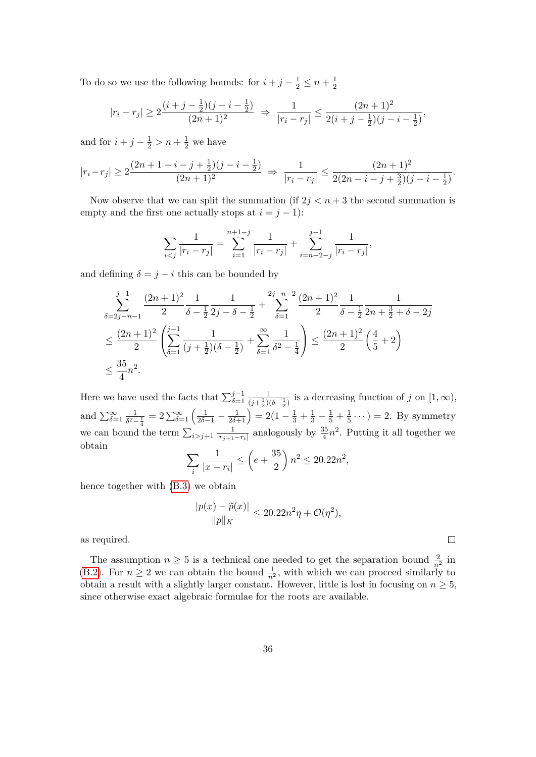To do so we use the following bounds: for  $i + j - \frac{1}{2} \leq n + \frac{1}{2}$ 2

$$
|r_i - r_j| \ge 2\frac{(i+j-\frac{1}{2})(j-i-\frac{1}{2})}{(2n+1)^2} \Rightarrow \frac{1}{|r_i - r_j|} \le \frac{(2n+1)^2}{2(i+j-\frac{1}{2})(j-i-\frac{1}{2})},
$$

and for  $i + j - \frac{1}{2} > n + \frac{1}{2}$  we have

$$
|r_i - r_j| \ge 2\frac{(2n+1-i-j+\frac{1}{2})(j-i-\frac{1}{2})}{(2n+1)^2} \Rightarrow \frac{1}{|r_i - r_j|} \le \frac{(2n+1)^2}{2(2n-i-j+\frac{3}{2})(j-i-\frac{1}{2})}.
$$

Now observe that we can split the summation (if  $2j < n+3$  the second summation is empty and the first one actually stops at  $i = j - 1$ :

$$
\sum_{i < j} \frac{1}{|r_i - r_j|} = \sum_{i=1}^{n+1-j} \frac{1}{|r_i - r_j|} + \sum_{i=n+2-j}^{j-1} \frac{1}{|r_i - r_j|},
$$

and defining  $\delta = j - i$  this can be bounded by

$$
\sum_{\delta=2j-n-1}^{j-1} \frac{(2n+1)^2}{2} \frac{1}{\delta - \frac{1}{2}} \frac{1}{2j - \delta - \frac{1}{2}} + \sum_{\delta=1}^{2j-n-2} \frac{(2n+1)^2}{2} \frac{1}{\delta - \frac{1}{2}} \frac{1}{2n + \frac{3}{2} + \delta - 2j}
$$
  

$$
\leq \frac{(2n+1)^2}{2} \left( \sum_{\delta=1}^{j-1} \frac{1}{(j+\frac{1}{2})(\delta - \frac{1}{2})} + \sum_{\delta=1}^{\infty} \frac{1}{\delta^2 - \frac{1}{4}} \right) \leq \frac{(2n+1)^2}{2} \left( \frac{4}{5} + 2 \right)
$$
  

$$
\leq \frac{35}{4} n^2.
$$

Here we have used the facts that  $\sum_{\delta=1}^{j-1} \frac{1}{(j+\frac{1}{2})(\delta-\frac{1}{2})}$  is a decreasing function of *j* on [1, ∞), and  $\sum_{\delta=1}^{\infty} \frac{1}{\delta^2 - \frac{1}{2}} = 2 \sum_{\delta=1}^{\infty} \left( \frac{1}{2\delta - 1} - \frac{1}{2\delta + 1} \right) = 2(1 \frac{1}{\delta^2 - \frac{1}{4}} = 2 \sum_{\delta=1}^{\infty} \left( \frac{1}{2\delta - 1} - \frac{1}{2\delta + 1} \right) = 2(1 - \frac{1}{3} + \frac{1}{3} - \frac{1}{5} + \frac{1}{5})$  $(\frac{1}{5} \cdots) = 2$ . By symmetry we can bound the term  $\sum_{i>j+1} \frac{1}{|r_{i+1}|}$  $\frac{1}{|r_{j+1}-r_i|}$  analogously by  $\frac{35}{4}n^2$ . Putting it all together we obtain

$$
\sum_{i} \frac{1}{|x - r_i|} \le \left( e + \frac{35}{2} \right) n^2 \le 20.22 n^2,
$$

hence together with [\(B.3\)](#page-34-2) we obtain

$$
\frac{|p(x) - \widetilde{p}(x)|}{\|p\|_K} \le 20.22n^2\eta + \mathcal{O}(\eta^2),
$$

 $\Box$ 

as required.

The assumption  $n \geq 5$  is a technical one needed to get the separation bound  $\frac{2}{n^2}$  in [\(B.2\)](#page-34-0). For  $n \geq 2$  we can obtain the bound  $\frac{1}{n^2}$ , with which we can proceed similarly to obtain a result with a slightly larger constant. However, little is lost in focusing on  $n \geq 5$ , since otherwise exact algebraic formulae for the roots are available.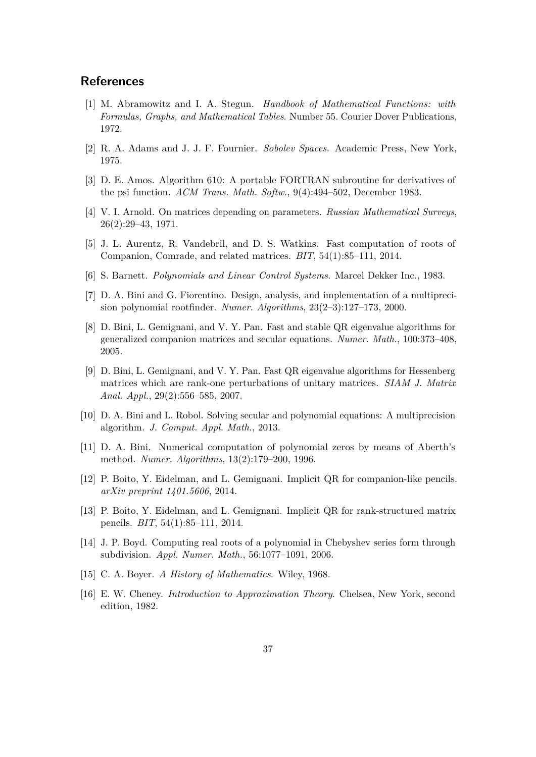### **References**

- <span id="page-36-11"></span>[1] M. Abramowitz and I. A. Stegun. *Handbook of Mathematical Functions: with Formulas, Graphs, and Mathematical Tables*. Number 55. Courier Dover Publications, 1972.
- <span id="page-36-13"></span>[2] R. A. Adams and J. J. F. Fournier. *Sobolev Spaces*. Academic Press, New York, 1975.
- <span id="page-36-12"></span>[3] D. E. Amos. Algorithm 610: A portable FORTRAN subroutine for derivatives of the psi function. *ACM Trans. Math. Softw.*, 9(4):494–502, December 1983.
- <span id="page-36-14"></span>[4] V. I. Arnold. On matrices depending on parameters. *Russian Mathematical Surveys*, 26(2):29–43, 1971.
- <span id="page-36-5"></span>[5] J. L. Aurentz, R. Vandebril, and D. S. Watkins. Fast computation of roots of Companion, Comrade, and related matrices. *BIT*, 54(1):85–111, 2014.
- <span id="page-36-10"></span>[6] S. Barnett. *Polynomials and Linear Control Systems*. Marcel Dekker Inc., 1983.
- <span id="page-36-2"></span>[7] D. A. Bini and G. Fiorentino. Design, analysis, and implementation of a multiprecision polynomial rootfinder. *Numer. Algorithms*, 23(2–3):127–173, 2000.
- <span id="page-36-6"></span>[8] D. Bini, L. Gemignani, and V. Y. Pan. Fast and stable QR eigenvalue algorithms for generalized companion matrices and secular equations. *Numer. Math.*, 100:373–408, 2005.
- <span id="page-36-7"></span>[9] D. Bini, L. Gemignani, and V. Y. Pan. Fast QR eigenvalue algorithms for Hessenberg matrices which are rank-one perturbations of unitary matrices. *SIAM J. Matrix Anal. Appl.*, 29(2):556–585, 2007.
- <span id="page-36-3"></span>[10] D. A. Bini and L. Robol. Solving secular and polynomial equations: A multiprecision algorithm. *J. Comput. Appl. Math.*, 2013.
- <span id="page-36-1"></span>[11] D. A. Bini. Numerical computation of polynomial zeros by means of Aberth's method. *Numer. Algorithms*, 13(2):179–200, 1996.
- <span id="page-36-8"></span>[12] P. Boito, Y. Eidelman, and L. Gemignani. Implicit QR for companion-like pencils. *arXiv preprint 1401.5606*, 2014.
- <span id="page-36-9"></span>[13] P. Boito, Y. Eidelman, and L. Gemignani. Implicit QR for rank-structured matrix pencils. *BIT*, 54(1):85–111, 2014.
- <span id="page-36-4"></span>[14] J. P. Boyd. Computing real roots of a polynomial in Chebyshev series form through subdivision. *Appl. Numer. Math.*, 56:1077–1091, 2006.
- <span id="page-36-0"></span>[15] C. A. Boyer. *A History of Mathematics*. Wiley, 1968.
- <span id="page-36-15"></span>[16] E. W. Cheney. *Introduction to Approximation Theory*. Chelsea, New York, second edition, 1982.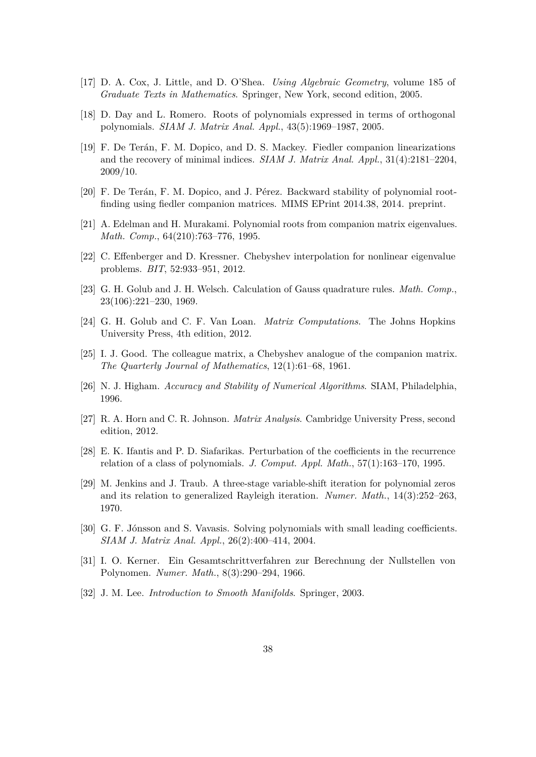- <span id="page-37-8"></span>[17] D. A. Cox, J. Little, and D. O'Shea. *Using Algebraic Geometry*, volume 185 of *Graduate Texts in Mathematics*. Springer, New York, second edition, 2005.
- <span id="page-37-15"></span>[18] D. Day and L. Romero. Roots of polynomials expressed in terms of orthogonal polynomials. *SIAM J. Matrix Anal. Appl.*, 43(5):1969–1987, 2005.
- <span id="page-37-14"></span>[19] F. De Terán, F. M. Dopico, and D. S. Mackey. Fiedler companion linearizations and the recovery of minimal indices. *SIAM J. Matrix Anal. Appl.*, 31(4):2181–2204, 2009/10.
- <span id="page-37-5"></span>[20] F. De Terán, F. M. Dopico, and J. Pérez. Backward stability of polynomial rootfinding using fiedler companion matrices. MIMS EPrint 2014.38, 2014. preprint.
- <span id="page-37-4"></span>[21] A. Edelman and H. Murakami. Polynomial roots from companion matrix eigenvalues. *Math. Comp.*, 64(210):763–776, 1995.
- <span id="page-37-6"></span>[22] C. Effenberger and D. Kressner. Chebyshev interpolation for nonlinear eigenvalue problems. *BIT*, 52:933–951, 2012.
- <span id="page-37-12"></span>[23] G. H. Golub and J. H. Welsch. Calculation of Gauss quadrature rules. *Math. Comp.*, 23(106):221–230, 1969.
- <span id="page-37-3"></span>[24] G. H. Golub and C. F. Van Loan. *Matrix Computations*. The Johns Hopkins University Press, 4th edition, 2012.
- <span id="page-37-0"></span>[25] I. J. Good. The colleague matrix, a Chebyshev analogue of the companion matrix. *The Quarterly Journal of Mathematics*, 12(1):61–68, 1961.
- <span id="page-37-10"></span>[26] N. J. Higham. *Accuracy and Stability of Numerical Algorithms*. SIAM, Philadelphia, 1996.
- <span id="page-37-9"></span>[27] R. A. Horn and C. R. Johnson. *Matrix Analysis*. Cambridge University Press, second edition, 2012.
- <span id="page-37-11"></span>[28] E. K. Ifantis and P. D. Siafarikas. Perturbation of the coefficients in the recurrence relation of a class of polynomials. *J. Comput. Appl. Math.*, 57(1):163–170, 1995.
- <span id="page-37-2"></span>[29] M. Jenkins and J. Traub. A three-stage variable-shift iteration for polynomial zeros and its relation to generalized Rayleigh iteration. *Numer. Math.*, 14(3):252–263, 1970.
- <span id="page-37-7"></span>[30] G. F. Jónsson and S. Vavasis. Solving polynomials with small leading coefficients. *SIAM J. Matrix Anal. Appl.*, 26(2):400–414, 2004.
- <span id="page-37-1"></span>[31] I. O. Kerner. Ein Gesamtschrittverfahren zur Berechnung der Nullstellen von Polynomen. *Numer. Math.*, 8(3):290–294, 1966.
- <span id="page-37-13"></span>[32] J. M. Lee. *Introduction to Smooth Manifolds*. Springer, 2003.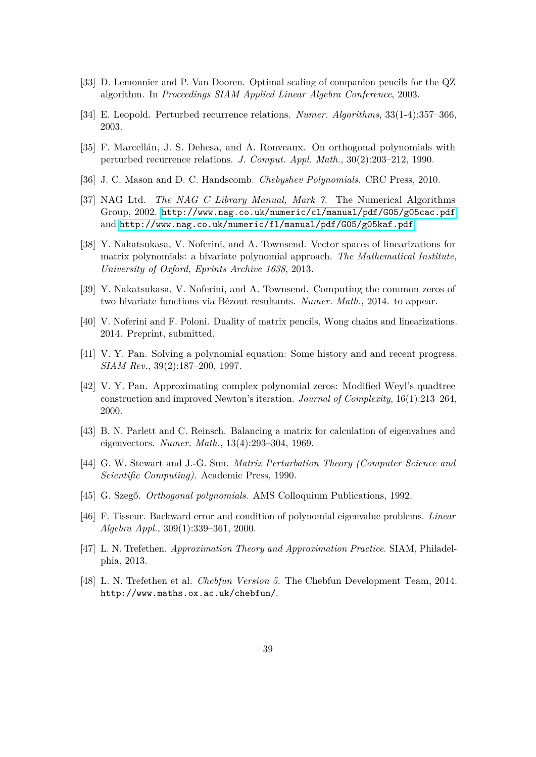- <span id="page-38-4"></span>[33] D. Lemonnier and P. Van Dooren. Optimal scaling of companion pencils for the QZ algorithm. In *Proceedings SIAM Applied Linear Algebra Conference*, 2003.
- <span id="page-38-9"></span>[34] E. Leopold. Perturbed recurrence relations. *Numer. Algorithms*, 33(1-4):357–366, 2003.
- <span id="page-38-10"></span>[35] F. Marcellán, J. S. Dehesa, and A. Ronveaux. On orthogonal polynomials with perturbed recurrence relations. *J. Comput. Appl. Math.*, 30(2):203–212, 1990.
- <span id="page-38-13"></span>[36] J. C. Mason and D. C. Handscomb. *Chebyshev Polynomials*. CRC Press, 2010.
- <span id="page-38-12"></span>[37] NAG Ltd. *The NAG C Library Manual, Mark 7*. The Numerical Algorithms Group, 2002. <http://www.nag.co.uk/numeric/cl/manual/pdf/G05/g05cac.pdf> and <http://www.nag.co.uk/numeric/fl/manual/pdf/G05/g05kaf.pdf>.
- <span id="page-38-6"></span>[38] Y. Nakatsukasa, V. Noferini, and A. Townsend. Vector spaces of linearizations for matrix polynomials: a bivariate polynomial approach. *The Mathematical Institute, University of Oxford, Eprints Archive 1638*, 2013.
- <span id="page-38-15"></span>[39] Y. Nakatsukasa, V. Noferini, and A. Townsend. Computing the common zeros of two bivariate functions via Bézout resultants. *Numer. Math.*, 2014. to appear.
- <span id="page-38-7"></span>[40] V. Noferini and F. Poloni. Duality of matrix pencils, Wong chains and linearizations. 2014. Preprint, submitted.
- <span id="page-38-0"></span>[41] V. Y. Pan. Solving a polynomial equation: Some history and and recent progress. *SIAM Rev.*, 39(2):187–200, 1997.
- <span id="page-38-3"></span>[42] V. Y. Pan. Approximating complex polynomial zeros: Modified Weyl's quadtree construction and improved Newton's iteration. *Journal of Complexity*, 16(1):213–264, 2000.
- <span id="page-38-14"></span>[43] B. N. Parlett and C. Reinsch. Balancing a matrix for calculation of eigenvalues and eigenvectors. *Numer. Math.*, 13(4):293–304, 1969.
- <span id="page-38-11"></span>[44] G. W. Stewart and J.-G. Sun. *Matrix Perturbation Theory (Computer Science and Scientific Computing)*. Academic Press, 1990.
- <span id="page-38-8"></span>[45] G. Szegő. *Orthogonal polynomials*. AMS Colloquium Publications, 1992.
- <span id="page-38-5"></span>[46] F. Tisseur. Backward error and condition of polynomial eigenvalue problems. *Linear Algebra Appl.*, 309(1):339–361, 2000.
- <span id="page-38-2"></span>[47] L. N. Trefethen. *Approximation Theory and Approximation Practice*. SIAM, Philadelphia, 2013.
- <span id="page-38-1"></span>[48] L. N. Trefethen et al. *Chebfun Version 5*. The Chebfun Development Team, 2014. http://www.maths.ox.ac.uk/chebfun/.